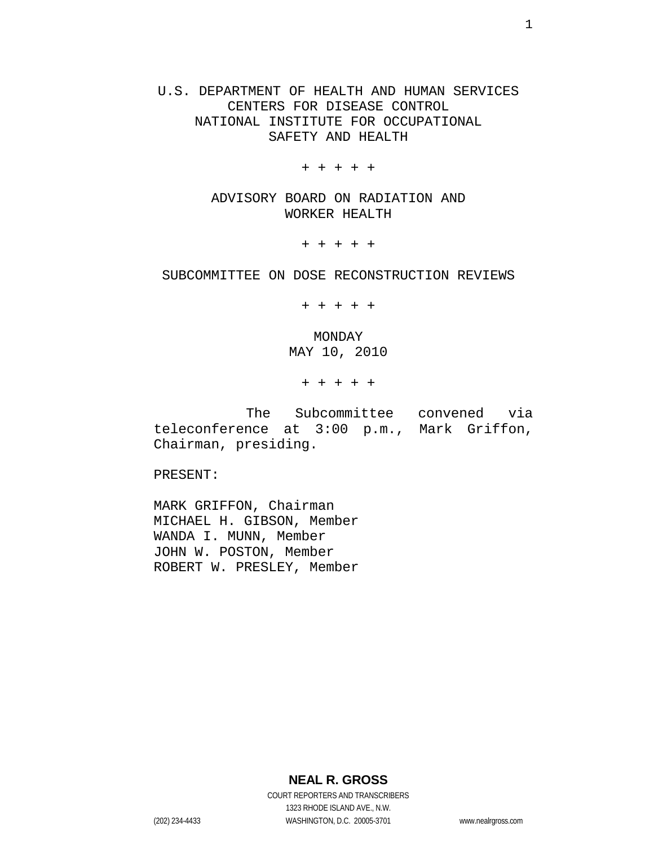U.S. DEPARTMENT OF HEALTH AND HUMAN SERVICES CENTERS FOR DISEASE CONTROL NATIONAL INSTITUTE FOR OCCUPATIONAL SAFETY AND HEALTH

+ + + + +

ADVISORY BOARD ON RADIATION AND WORKER HEALTH

+ + + + +

#### SUBCOMMITTEE ON DOSE RECONSTRUCTION REVIEWS

+ + + + +

MONDAY MAY 10, 2010

+ + + + +

The Subcommittee convened via teleconference at 3:00 p.m., Mark Griffon, Chairman, presiding.

PRESENT:

MARK GRIFFON, Chairman MICHAEL H. GIBSON, Member WANDA I. MUNN, Member JOHN W. POSTON, Member ROBERT W. PRESLEY, Member

**NEAL R. GROSS**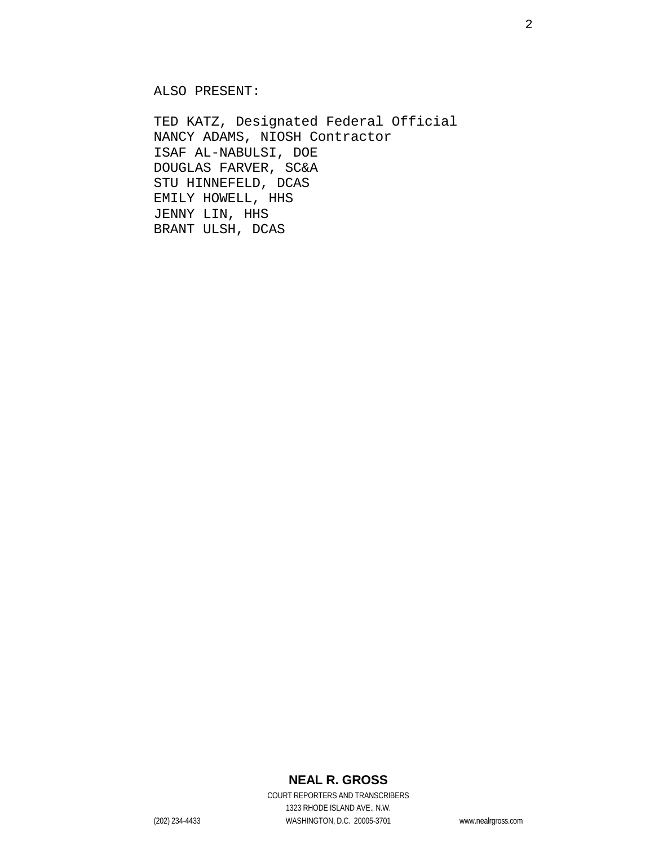ALSO PRESENT:

TED KATZ, Designated Federal Official NANCY ADAMS, NIOSH Contractor ISAF AL-NABULSI, DOE DOUGLAS FARVER, SC&A STU HINNEFELD, DCAS EMILY HOWELL, HHS JENNY LIN, HHS BRANT ULSH, DCAS

### **NEAL R. GROSS**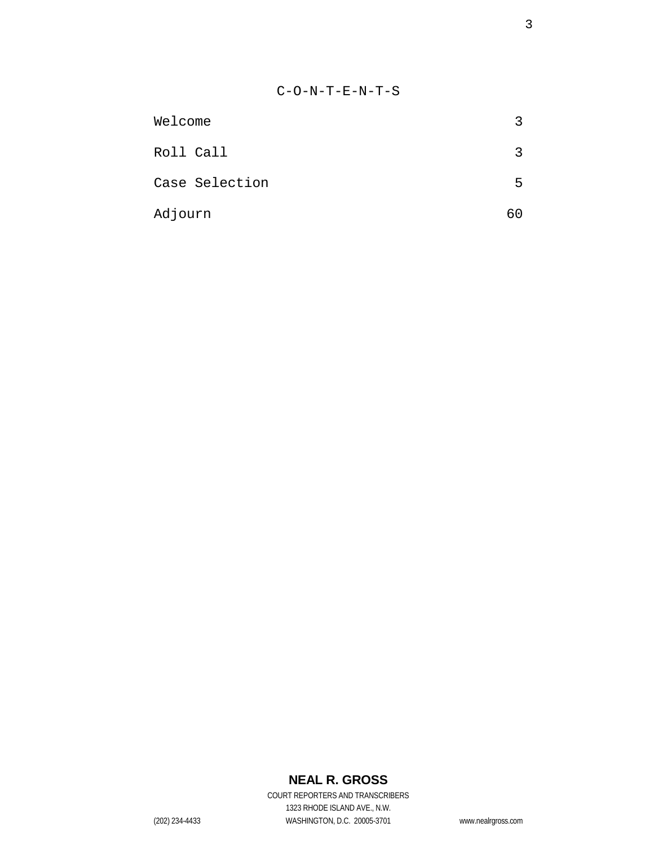| Welcome        | 3  |
|----------------|----|
| Roll Call      | २  |
| Case Selection | 5. |
| Adjourn        | 60 |

# **NEAL R. GROSS**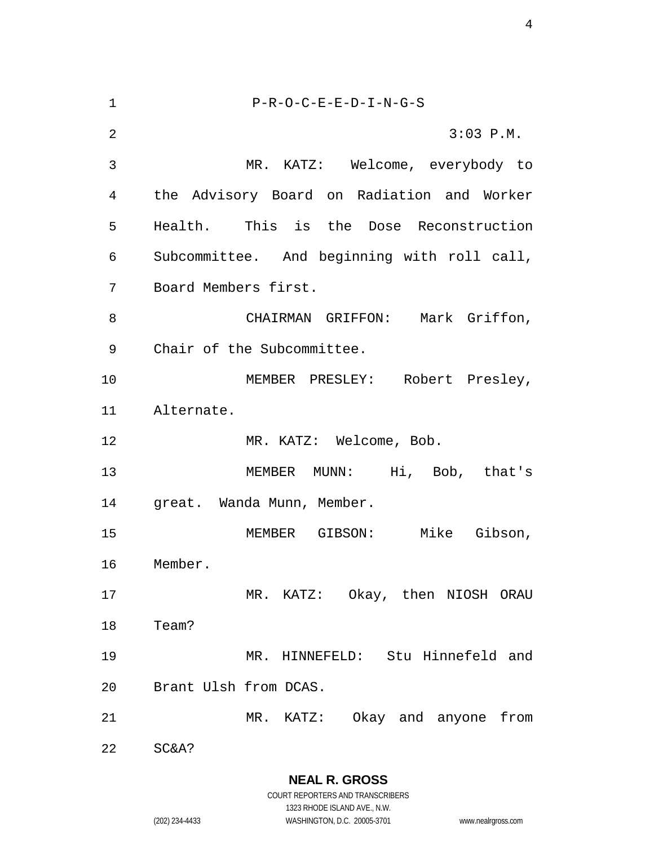| $\mathbf 1$    | $P-R-O-C-E-E-D-I-N-G-S$                     |
|----------------|---------------------------------------------|
| $\overline{2}$ | $3:03$ P.M.                                 |
| 3              | MR. KATZ: Welcome, everybody to             |
| 4              | the Advisory Board on Radiation and Worker  |
| 5              | Health. This is the Dose Reconstruction     |
| 6              | Subcommittee. And beginning with roll call, |
| 7              | Board Members first.                        |
| 8              | CHAIRMAN GRIFFON: Mark Griffon,             |
| 9              | Chair of the Subcommittee.                  |
| 10             | MEMBER PRESLEY: Robert Presley,             |
| 11             | Alternate.                                  |
| 12             | MR. KATZ: Welcome, Bob.                     |
| 13             | MEMBER MUNN: Hi, Bob, that's                |
| 14             | great. Wanda Munn, Member.                  |
| 15             | Mike Gibson,<br>MEMBER GIBSON:              |
| 16             | Member.                                     |
| 17             | MR. KATZ: Okay, then NIOSH ORAU             |
| 18             | Team?                                       |
| 19             | MR. HINNEFELD: Stu Hinnefeld and            |
| 20             | Brant Ulsh from DCAS.                       |
| 21             | MR. KATZ: Okay and anyone from              |
| 22             | SC&A?                                       |

**NEAL R. GROSS** COURT REPORTERS AND TRANSCRIBERS

1323 RHODE ISLAND AVE., N.W. (202) 234-4433 WASHINGTON, D.C. 20005-3701 www.nealrgross.com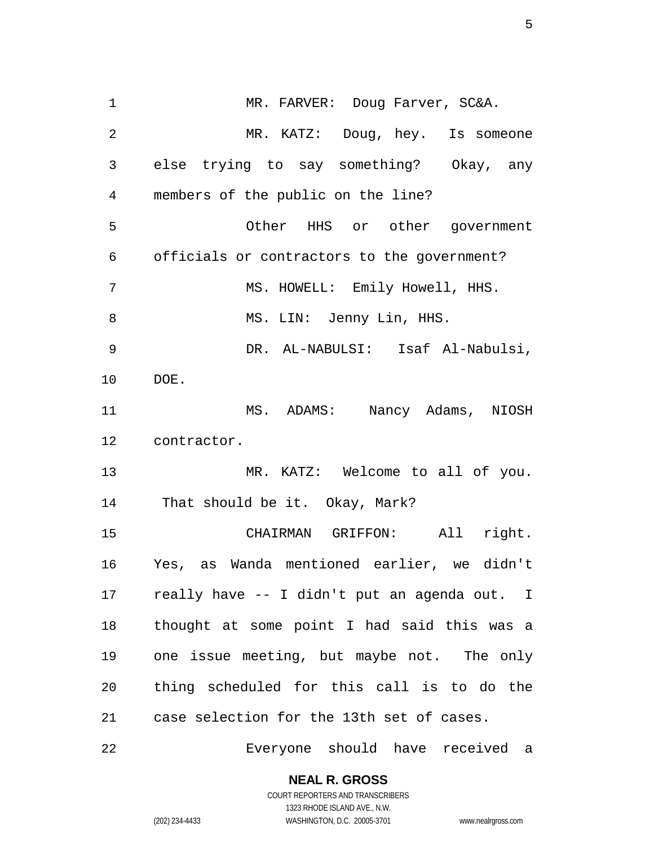1 MR. FARVER: Doug Farver, SC&A. MR. KATZ: Doug, hey. Is someone else trying to say something? Okay, any members of the public on the line? Other HHS or other government officials or contractors to the government? 7 MS. HOWELL: Emily Howell, HHS. 8 MS. LIN: Jenny Lin, HHS. DR. AL-NABULSI: Isaf Al-Nabulsi, DOE. 11 MS. ADAMS: Nancy Adams, NIOSH contractor. MR. KATZ: Welcome to all of you. That should be it. Okay, Mark? CHAIRMAN GRIFFON: All right. Yes, as Wanda mentioned earlier, we didn't really have -- I didn't put an agenda out. I thought at some point I had said this was a one issue meeting, but maybe not. The only thing scheduled for this call is to do the case selection for the 13th set of cases. Everyone should have received a

**NEAL R. GROSS**

COURT REPORTERS AND TRANSCRIBERS 1323 RHODE ISLAND AVE., N.W. (202) 234-4433 WASHINGTON, D.C. 20005-3701 www.nealrgross.com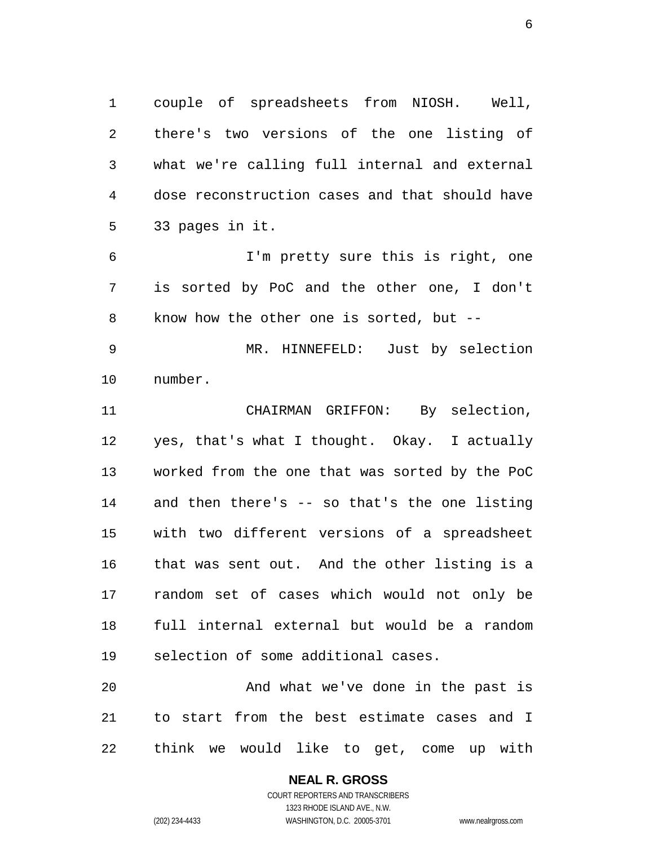couple of spreadsheets from NIOSH. Well, there's two versions of the one listing of what we're calling full internal and external dose reconstruction cases and that should have 33 pages in it.

 I'm pretty sure this is right, one is sorted by PoC and the other one, I don't know how the other one is sorted, but --

 MR. HINNEFELD: Just by selection number.

 CHAIRMAN GRIFFON: By selection, yes, that's what I thought. Okay. I actually worked from the one that was sorted by the PoC and then there's -- so that's the one listing with two different versions of a spreadsheet that was sent out. And the other listing is a random set of cases which would not only be full internal external but would be a random selection of some additional cases.

 And what we've done in the past is to start from the best estimate cases and I think we would like to get, come up with

### **NEAL R. GROSS** COURT REPORTERS AND TRANSCRIBERS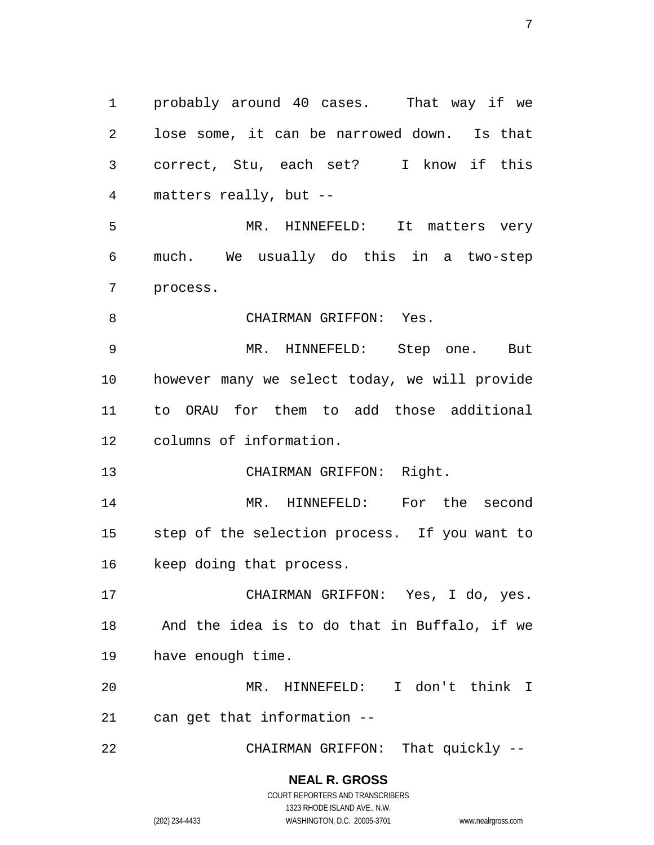probably around 40 cases. That way if we lose some, it can be narrowed down. Is that correct, Stu, each set? I know if this matters really, but -- MR. HINNEFELD: It matters very much. We usually do this in a two-step process. 8 CHAIRMAN GRIFFON: Yes. MR. HINNEFELD: Step one. But however many we select today, we will provide to ORAU for them to add those additional columns of information. CHAIRMAN GRIFFON: Right. 14 MR. HINNEFELD: For the second step of the selection process. If you want to keep doing that process. CHAIRMAN GRIFFON: Yes, I do, yes. And the idea is to do that in Buffalo, if we have enough time. MR. HINNEFELD: I don't think I can get that information -- CHAIRMAN GRIFFON: That quickly --

> **NEAL R. GROSS** COURT REPORTERS AND TRANSCRIBERS

1323 RHODE ISLAND AVE., N.W. (202) 234-4433 WASHINGTON, D.C. 20005-3701 www.nealrgross.com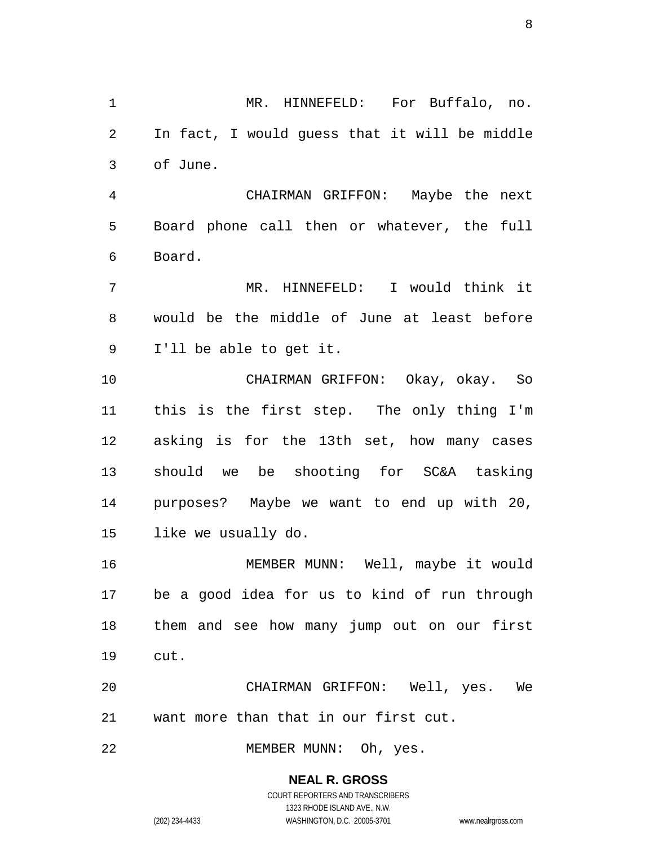MR. HINNEFELD: For Buffalo, no. In fact, I would guess that it will be middle of June.

 CHAIRMAN GRIFFON: Maybe the next Board phone call then or whatever, the full Board.

 MR. HINNEFELD: I would think it would be the middle of June at least before I'll be able to get it.

 CHAIRMAN GRIFFON: Okay, okay. So this is the first step. The only thing I'm asking is for the 13th set, how many cases should we be shooting for SC&A tasking purposes? Maybe we want to end up with 20, like we usually do.

 MEMBER MUNN: Well, maybe it would be a good idea for us to kind of run through them and see how many jump out on our first cut.

 CHAIRMAN GRIFFON: Well, yes. We want more than that in our first cut.

MEMBER MUNN: Oh, yes.

**NEAL R. GROSS**

COURT REPORTERS AND TRANSCRIBERS 1323 RHODE ISLAND AVE., N.W. (202) 234-4433 WASHINGTON, D.C. 20005-3701 www.nealrgross.com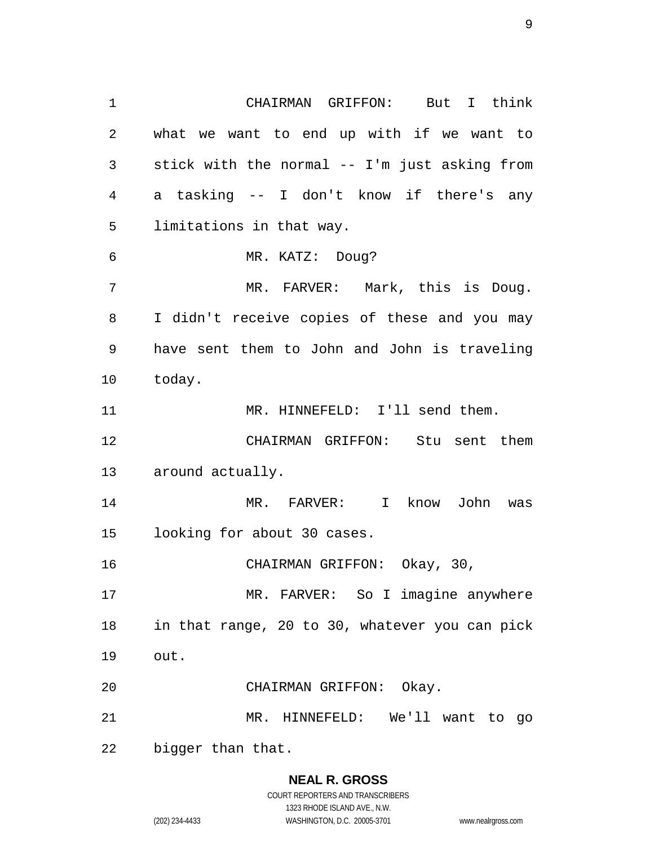CHAIRMAN GRIFFON: But I think what we want to end up with if we want to stick with the normal -- I'm just asking from a tasking -- I don't know if there's any limitations in that way. MR. KATZ: Doug? 7 MR. FARVER: Mark, this is Doug. I didn't receive copies of these and you may have sent them to John and John is traveling today. 11 MR. HINNEFELD: I'll send them. CHAIRMAN GRIFFON: Stu sent them around actually. MR. FARVER: I know John was looking for about 30 cases. CHAIRMAN GRIFFON: Okay, 30, MR. FARVER: So I imagine anywhere in that range, 20 to 30, whatever you can pick out. CHAIRMAN GRIFFON: Okay. MR. HINNEFELD: We'll want to go bigger than that.

### **NEAL R. GROSS**

COURT REPORTERS AND TRANSCRIBERS 1323 RHODE ISLAND AVE., N.W. (202) 234-4433 WASHINGTON, D.C. 20005-3701 www.nealrgross.com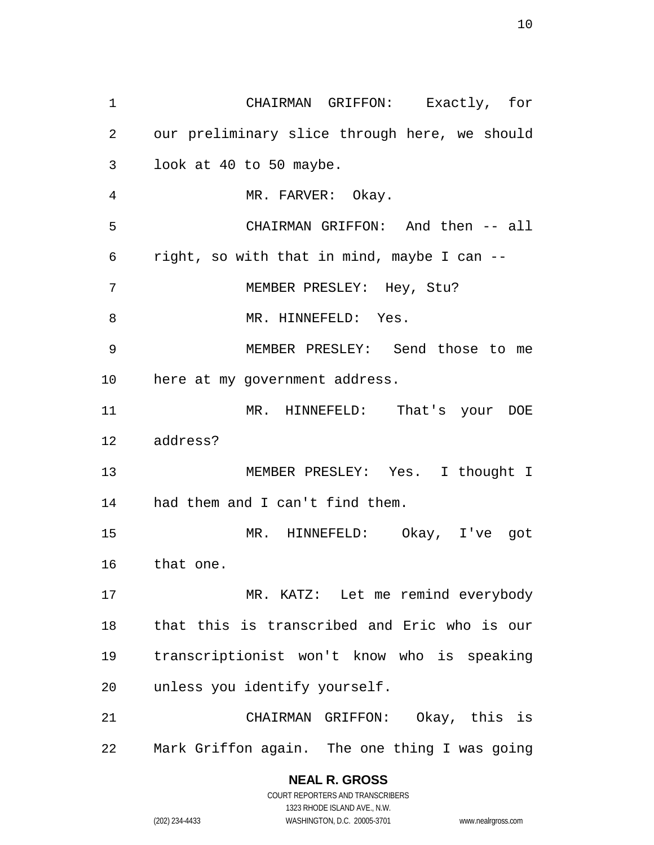CHAIRMAN GRIFFON: Exactly, for our preliminary slice through here, we should look at 40 to 50 maybe. MR. FARVER: Okay. CHAIRMAN GRIFFON: And then -- all right, so with that in mind, maybe I can -- MEMBER PRESLEY: Hey, Stu? 8 MR. HINNEFELD: Yes. MEMBER PRESLEY: Send those to me here at my government address. MR. HINNEFELD: That's your DOE address? MEMBER PRESLEY: Yes. I thought I had them and I can't find them. MR. HINNEFELD: Okay, I've got that one. MR. KATZ: Let me remind everybody that this is transcribed and Eric who is our transcriptionist won't know who is speaking unless you identify yourself. CHAIRMAN GRIFFON: Okay, this is Mark Griffon again. The one thing I was going

> **NEAL R. GROSS** COURT REPORTERS AND TRANSCRIBERS 1323 RHODE ISLAND AVE., N.W. (202) 234-4433 WASHINGTON, D.C. 20005-3701 www.nealrgross.com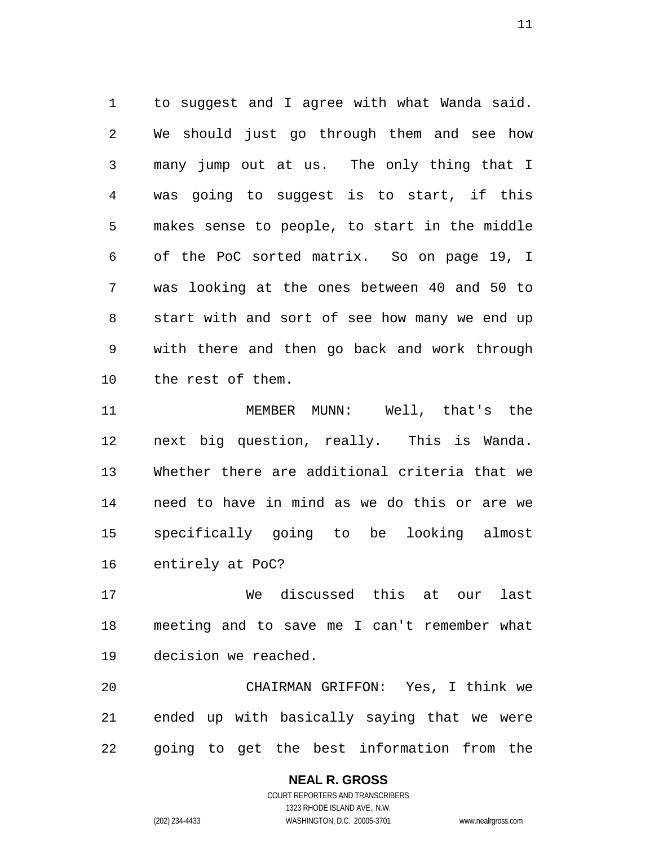to suggest and I agree with what Wanda said. We should just go through them and see how many jump out at us. The only thing that I was going to suggest is to start, if this makes sense to people, to start in the middle of the PoC sorted matrix. So on page 19, I was looking at the ones between 40 and 50 to start with and sort of see how many we end up with there and then go back and work through the rest of them.

 MEMBER MUNN: Well, that's the next big question, really. This is Wanda. Whether there are additional criteria that we need to have in mind as we do this or are we specifically going to be looking almost entirely at PoC?

 We discussed this at our last meeting and to save me I can't remember what decision we reached.

 CHAIRMAN GRIFFON: Yes, I think we ended up with basically saying that we were going to get the best information from the

# **NEAL R. GROSS**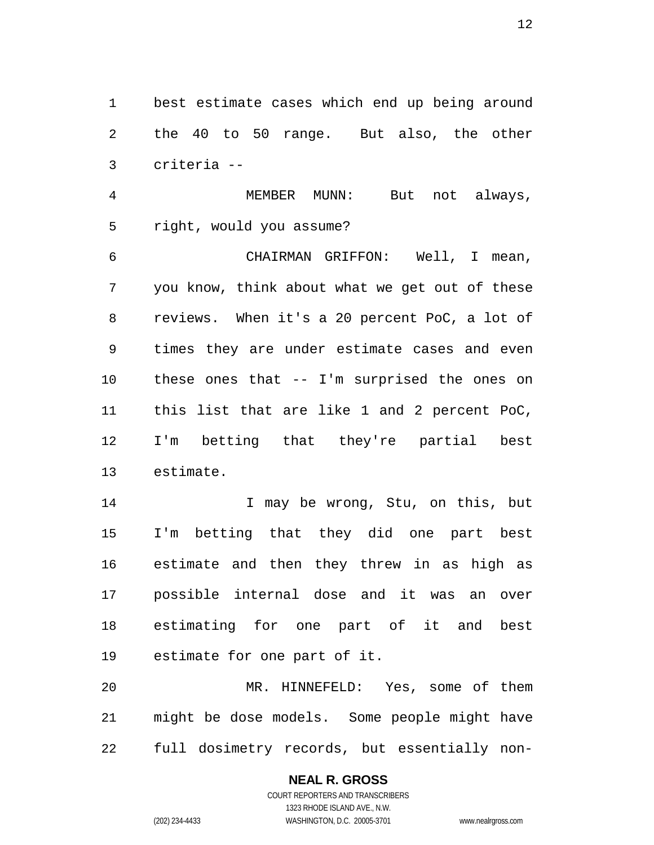best estimate cases which end up being around the 40 to 50 range. But also, the other criteria --

 MEMBER MUNN: But not always, right, would you assume?

 CHAIRMAN GRIFFON: Well, I mean, you know, think about what we get out of these reviews. When it's a 20 percent PoC, a lot of times they are under estimate cases and even these ones that -- I'm surprised the ones on this list that are like 1 and 2 percent PoC, I'm betting that they're partial best estimate.

14 I may be wrong, Stu, on this, but I'm betting that they did one part best estimate and then they threw in as high as possible internal dose and it was an over estimating for one part of it and best estimate for one part of it.

 MR. HINNEFELD: Yes, some of them might be dose models. Some people might have full dosimetry records, but essentially non-

(202) 234-4433 WASHINGTON, D.C. 20005-3701 www.nealrgross.com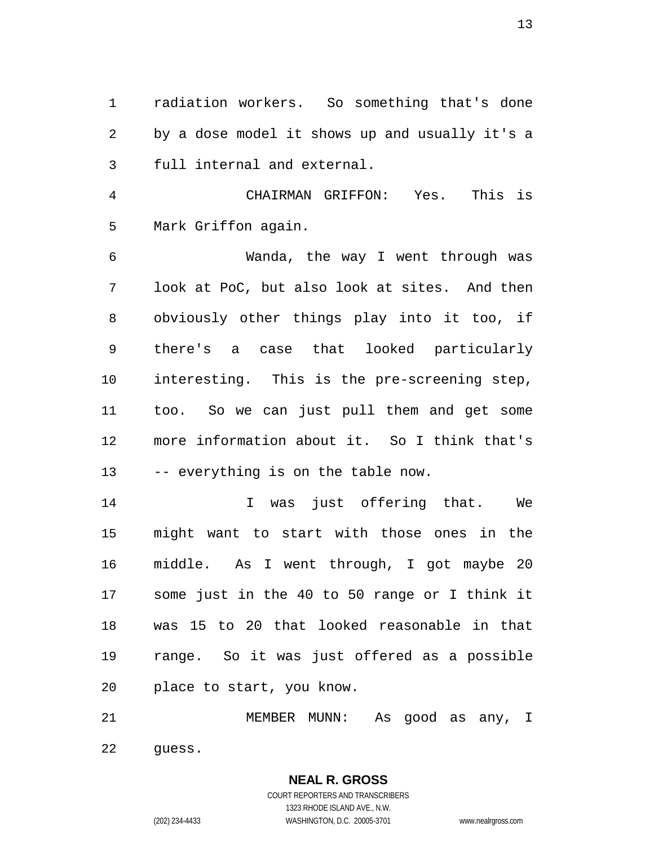radiation workers. So something that's done by a dose model it shows up and usually it's a full internal and external.

 CHAIRMAN GRIFFON: Yes. This is Mark Griffon again.

 Wanda, the way I went through was look at PoC, but also look at sites. And then obviously other things play into it too, if there's a case that looked particularly interesting. This is the pre-screening step, too. So we can just pull them and get some more information about it. So I think that's 13 -- everything is on the table now.

 I was just offering that. We might want to start with those ones in the middle. As I went through, I got maybe 20 some just in the 40 to 50 range or I think it was 15 to 20 that looked reasonable in that range. So it was just offered as a possible place to start, you know.

 MEMBER MUNN: As good as any, I guess.

> COURT REPORTERS AND TRANSCRIBERS 1323 RHODE ISLAND AVE., N.W. (202) 234-4433 WASHINGTON, D.C. 20005-3701 www.nealrgross.com

**NEAL R. GROSS**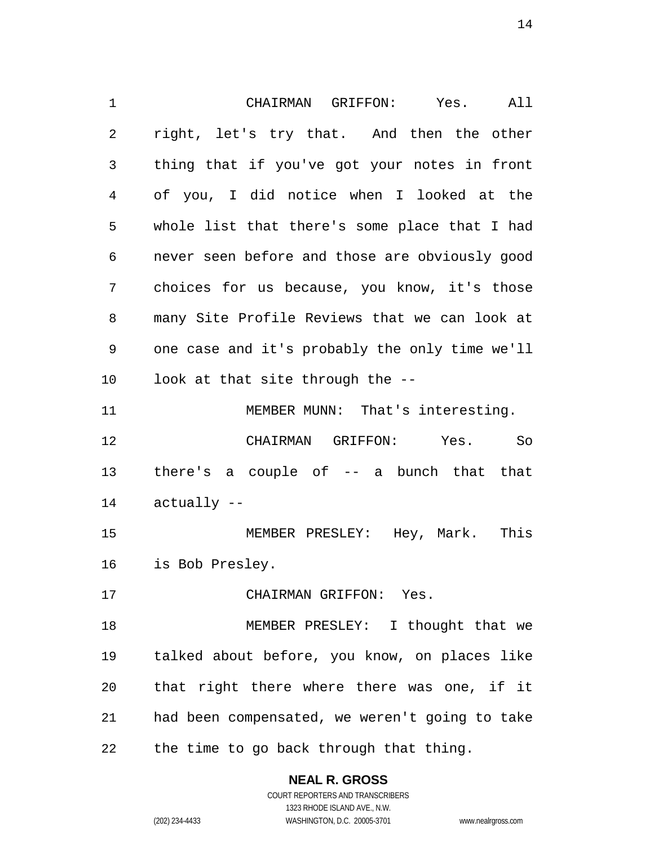CHAIRMAN GRIFFON: Yes. All right, let's try that. And then the other thing that if you've got your notes in front of you, I did notice when I looked at the whole list that there's some place that I had never seen before and those are obviously good choices for us because, you know, it's those many Site Profile Reviews that we can look at one case and it's probably the only time we'll look at that site through the -- 11 MEMBER MUNN: That's interesting. CHAIRMAN GRIFFON: Yes. So there's a couple of -- a bunch that that actually -- MEMBER PRESLEY: Hey, Mark. This is Bob Presley. CHAIRMAN GRIFFON: Yes. 18 MEMBER PRESLEY: I thought that we talked about before, you know, on places like that right there where there was one, if it had been compensated, we weren't going to take the time to go back through that thing.

> **NEAL R. GROSS** COURT REPORTERS AND TRANSCRIBERS

1323 RHODE ISLAND AVE., N.W. (202) 234-4433 WASHINGTON, D.C. 20005-3701 www.nealrgross.com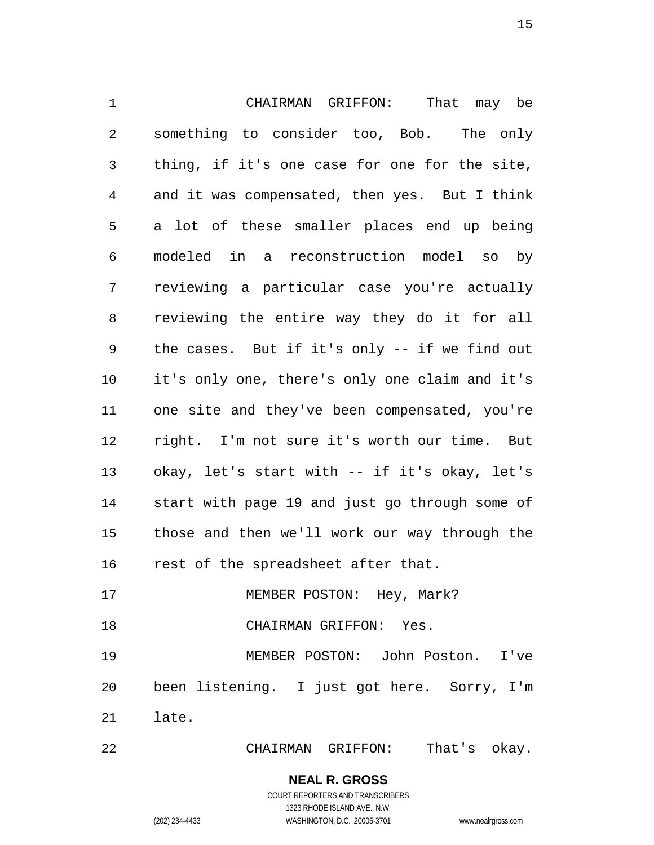CHAIRMAN GRIFFON: That may be something to consider too, Bob. The only thing, if it's one case for one for the site, and it was compensated, then yes. But I think a lot of these smaller places end up being modeled in a reconstruction model so by reviewing a particular case you're actually reviewing the entire way they do it for all the cases. But if it's only -- if we find out it's only one, there's only one claim and it's one site and they've been compensated, you're right. I'm not sure it's worth our time. But okay, let's start with -- if it's okay, let's start with page 19 and just go through some of those and then we'll work our way through the rest of the spreadsheet after that.

17 MEMBER POSTON: Hey, Mark?

CHAIRMAN GRIFFON: Yes.

 MEMBER POSTON: John Poston. I've been listening. I just got here. Sorry, I'm late.

CHAIRMAN GRIFFON: That's okay.

### **NEAL R. GROSS**

COURT REPORTERS AND TRANSCRIBERS 1323 RHODE ISLAND AVE., N.W. (202) 234-4433 WASHINGTON, D.C. 20005-3701 www.nealrgross.com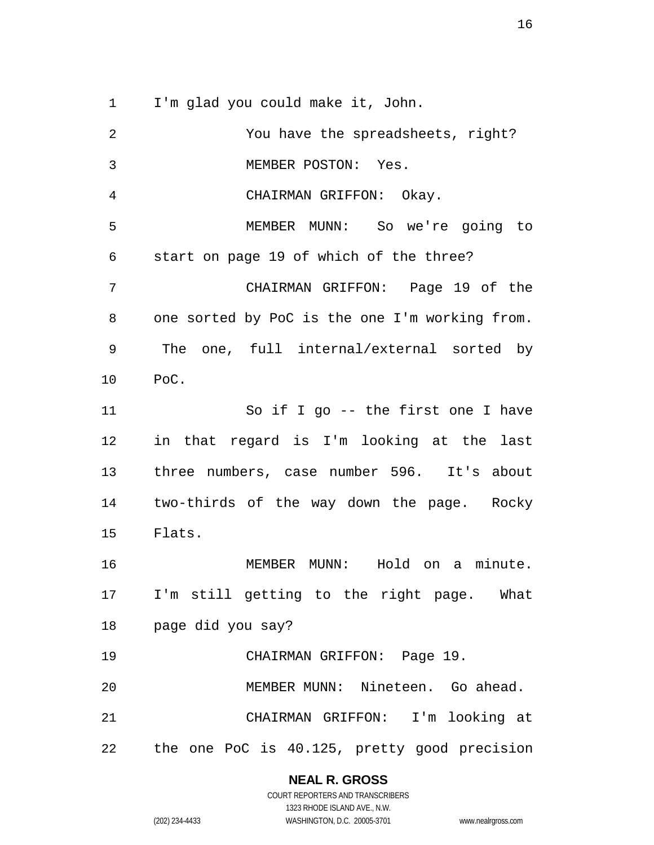I'm glad you could make it, John.

 You have the spreadsheets, right? MEMBER POSTON: Yes. CHAIRMAN GRIFFON: Okay. MEMBER MUNN: So we're going to start on page 19 of which of the three? CHAIRMAN GRIFFON: Page 19 of the one sorted by PoC is the one I'm working from. The one, full internal/external sorted by PoC. So if I go -- the first one I have in that regard is I'm looking at the last three numbers, case number 596. It's about two-thirds of the way down the page. Rocky Flats. MEMBER MUNN: Hold on a minute. I'm still getting to the right page. What page did you say? CHAIRMAN GRIFFON: Page 19. MEMBER MUNN: Nineteen. Go ahead. CHAIRMAN GRIFFON: I'm looking at the one PoC is 40.125, pretty good precision

### **NEAL R. GROSS**

COURT REPORTERS AND TRANSCRIBERS 1323 RHODE ISLAND AVE., N.W. (202) 234-4433 WASHINGTON, D.C. 20005-3701 www.nealrgross.com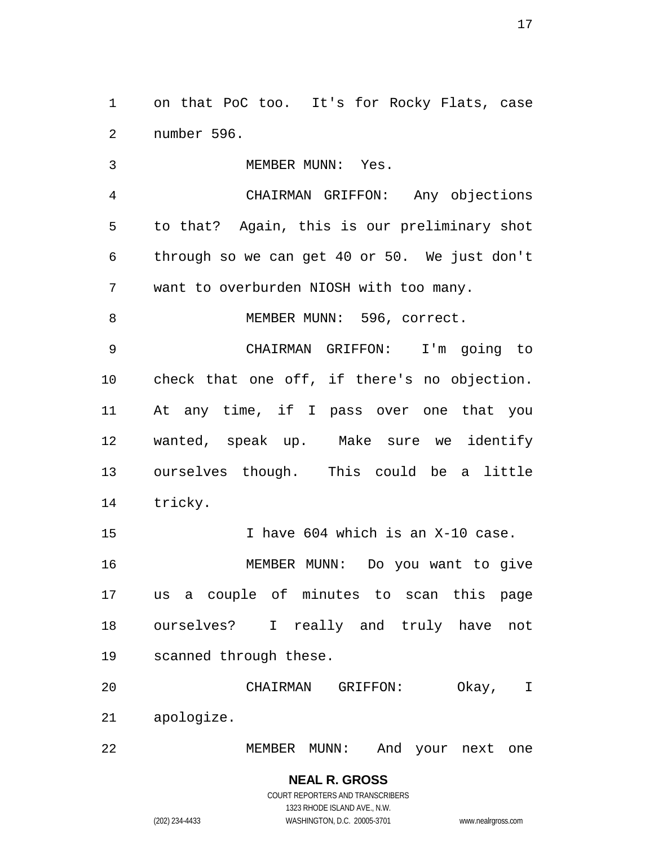on that PoC too. It's for Rocky Flats, case number 596.

3 MEMBER MUNN: Yes. CHAIRMAN GRIFFON: Any objections to that? Again, this is our preliminary shot through so we can get 40 or 50. We just don't want to overburden NIOSH with too many. 8 MEMBER MUNN: 596, correct. CHAIRMAN GRIFFON: I'm going to check that one off, if there's no objection. At any time, if I pass over one that you wanted, speak up. Make sure we identify ourselves though. This could be a little tricky. 15 I have 604 which is an X-10 case. MEMBER MUNN: Do you want to give us a couple of minutes to scan this page ourselves? I really and truly have not scanned through these. CHAIRMAN GRIFFON: Okay, I apologize.

MEMBER MUNN: And your next one

(202) 234-4433 WASHINGTON, D.C. 20005-3701 www.nealrgross.com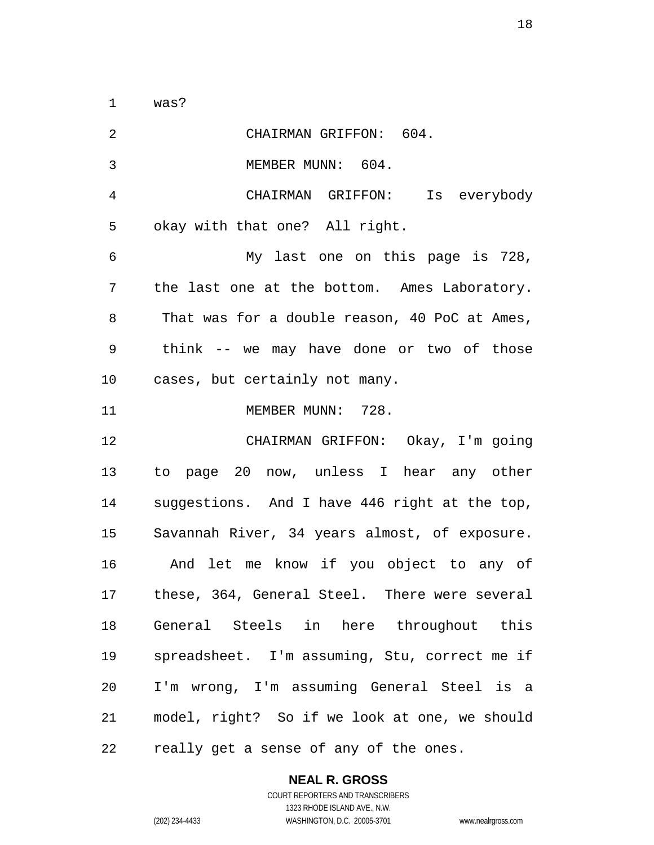was?

| $\overline{a}$ | CHAIRMAN GRIFFON: 604.                        |
|----------------|-----------------------------------------------|
| 3              | MEMBER MUNN: 604.                             |
| 4              | CHAIRMAN GRIFFON: Is everybody                |
| 5              | okay with that one? All right.                |
| 6              | My last one on this page is 728,              |
| 7              | the last one at the bottom. Ames Laboratory.  |
| 8              | That was for a double reason, 40 PoC at Ames, |
| 9              | think -- we may have done or two of those     |
| 10             | cases, but certainly not many.                |
| 11             | MEMBER MUNN: 728.                             |
| 12             | CHAIRMAN GRIFFON: Okay, I'm going             |
| 13             | to page 20 now, unless I hear any other       |
| 14             | suggestions. And I have 446 right at the top, |
| 15             | Savannah River, 34 years almost, of exposure. |
| 16             | And let me know if you object to any of       |
| 17             | these, 364, General Steel. There were several |
| 18             | General Steels in here throughout this        |
| 19             | spreadsheet. I'm assuming, Stu, correct me if |
| 20             | I'm wrong, I'm assuming General Steel is a    |
| 21             | model, right? So if we look at one, we should |
| 22             | really get a sense of any of the ones.        |

### **NEAL R. GROSS** COURT REPORTERS AND TRANSCRIBERS

1323 RHODE ISLAND AVE., N.W.

(202) 234-4433 WASHINGTON, D.C. 20005-3701 www.nealrgross.com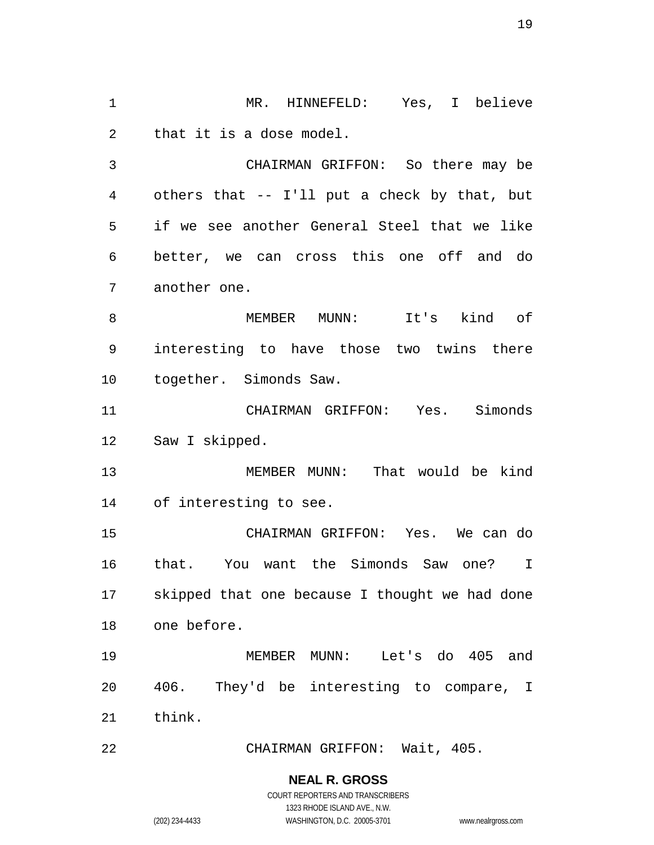MR. HINNEFELD: Yes, I believe that it is a dose model.

 CHAIRMAN GRIFFON: So there may be others that -- I'll put a check by that, but if we see another General Steel that we like better, we can cross this one off and do another one.

 MEMBER MUNN: It's kind of interesting to have those two twins there together. Simonds Saw.

 CHAIRMAN GRIFFON: Yes. Simonds Saw I skipped.

 MEMBER MUNN: That would be kind of interesting to see.

 CHAIRMAN GRIFFON: Yes. We can do that. You want the Simonds Saw one? I skipped that one because I thought we had done one before.

 MEMBER MUNN: Let's do 405 and 406. They'd be interesting to compare, I think.

CHAIRMAN GRIFFON: Wait, 405.

### **NEAL R. GROSS**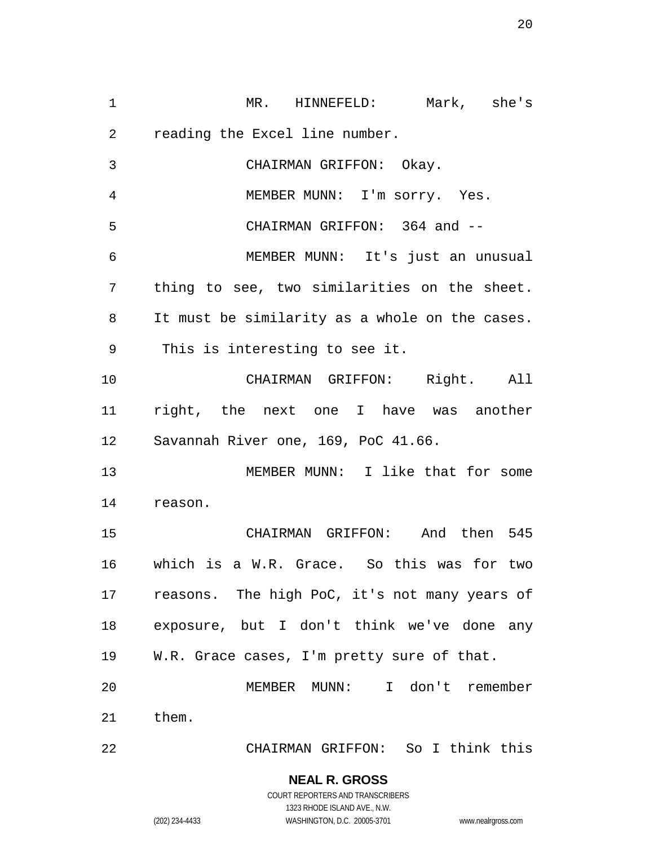MR. HINNEFELD: Mark, she's reading the Excel line number. CHAIRMAN GRIFFON: Okay. MEMBER MUNN: I'm sorry. Yes. CHAIRMAN GRIFFON: 364 and -- MEMBER MUNN: It's just an unusual thing to see, two similarities on the sheet. It must be similarity as a whole on the cases. This is interesting to see it. CHAIRMAN GRIFFON: Right. All right, the next one I have was another Savannah River one, 169, PoC 41.66. MEMBER MUNN: I like that for some reason. CHAIRMAN GRIFFON: And then 545 which is a W.R. Grace. So this was for two reasons. The high PoC, it's not many years of exposure, but I don't think we've done any W.R. Grace cases, I'm pretty sure of that. MEMBER MUNN: I don't remember them. CHAIRMAN GRIFFON: So I think this

### **NEAL R. GROSS** COURT REPORTERS AND TRANSCRIBERS

1323 RHODE ISLAND AVE., N.W.

(202) 234-4433 WASHINGTON, D.C. 20005-3701 www.nealrgross.com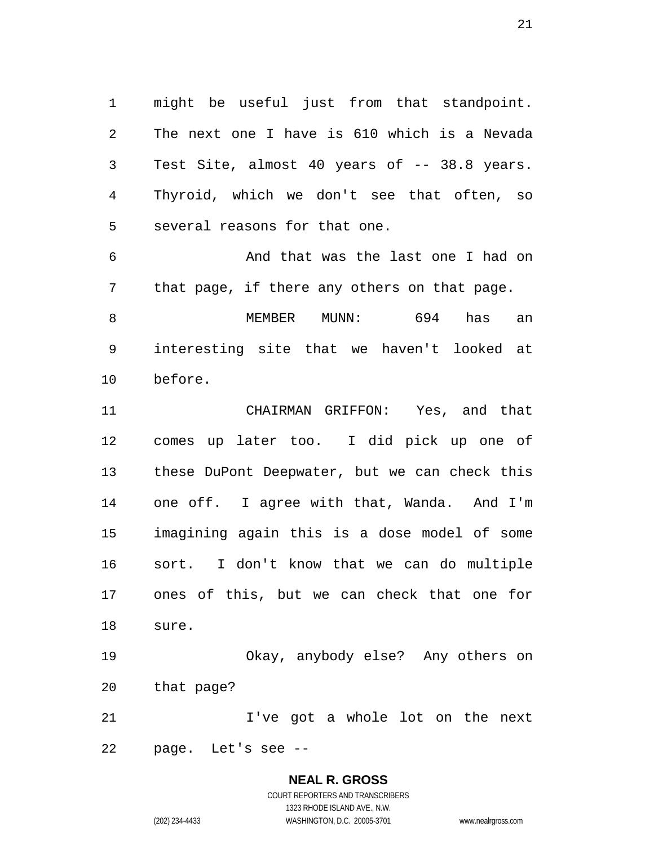might be useful just from that standpoint. The next one I have is 610 which is a Nevada Test Site, almost 40 years of -- 38.8 years. Thyroid, which we don't see that often, so several reasons for that one.

 And that was the last one I had on that page, if there any others on that page.

 MEMBER MUNN: 694 has an interesting site that we haven't looked at before.

 CHAIRMAN GRIFFON: Yes, and that comes up later too. I did pick up one of these DuPont Deepwater, but we can check this one off. I agree with that, Wanda. And I'm imagining again this is a dose model of some sort. I don't know that we can do multiple ones of this, but we can check that one for sure.

 Okay, anybody else? Any others on that page?

 I've got a whole lot on the next page. Let's see --

### **NEAL R. GROSS**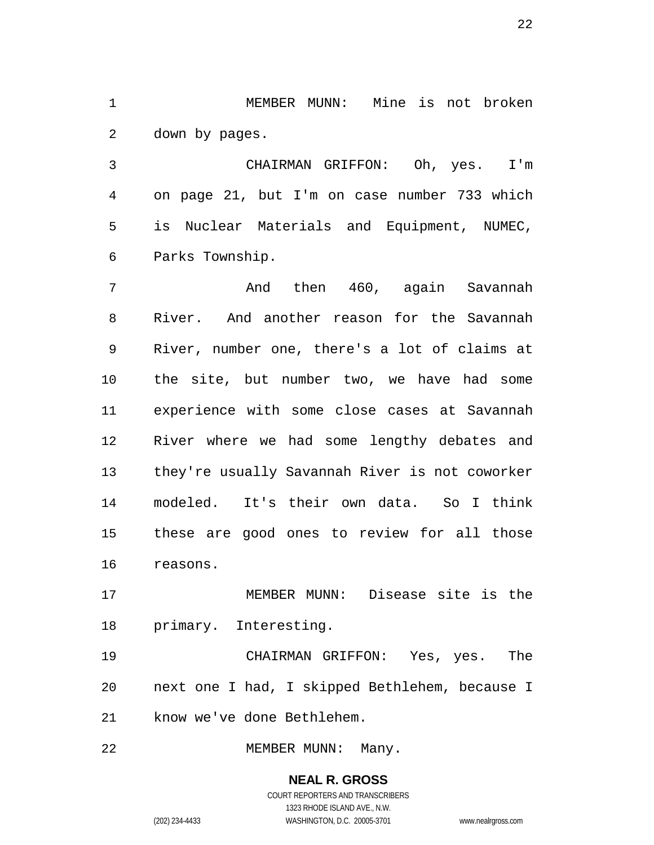MEMBER MUNN: Mine is not broken down by pages.

 CHAIRMAN GRIFFON: Oh, yes. I'm on page 21, but I'm on case number 733 which is Nuclear Materials and Equipment, NUMEC, Parks Township.

7 And then 460, again Savannah River. And another reason for the Savannah River, number one, there's a lot of claims at the site, but number two, we have had some experience with some close cases at Savannah River where we had some lengthy debates and they're usually Savannah River is not coworker modeled. It's their own data. So I think these are good ones to review for all those reasons.

 MEMBER MUNN: Disease site is the primary. Interesting.

 CHAIRMAN GRIFFON: Yes, yes. The next one I had, I skipped Bethlehem, because I know we've done Bethlehem.

22 MEMBER MUNN: Many.

**NEAL R. GROSS** COURT REPORTERS AND TRANSCRIBERS 1323 RHODE ISLAND AVE., N.W. (202) 234-4433 WASHINGTON, D.C. 20005-3701 www.nealrgross.com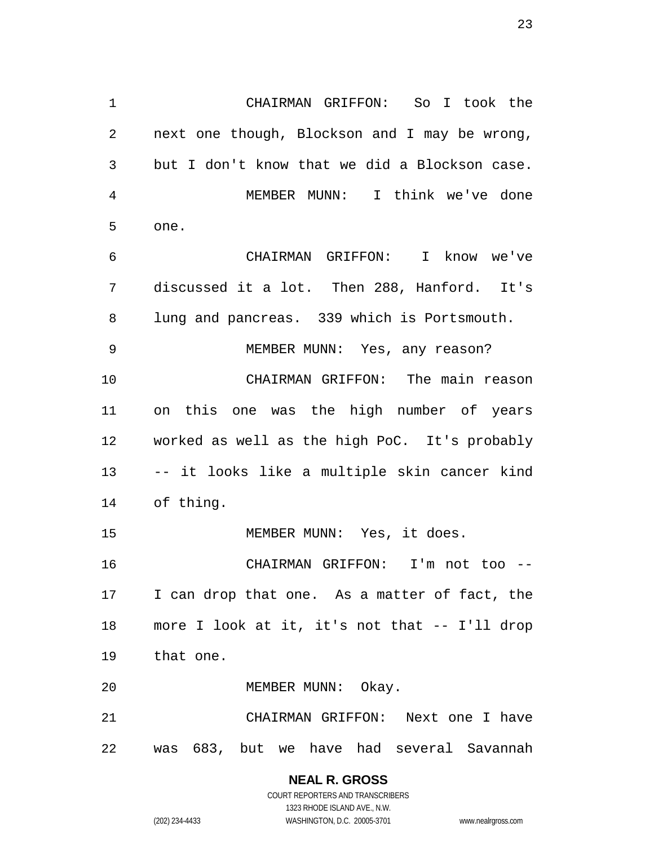CHAIRMAN GRIFFON: So I took the next one though, Blockson and I may be wrong, but I don't know that we did a Blockson case. MEMBER MUNN: I think we've done one. CHAIRMAN GRIFFON: I know we've discussed it a lot. Then 288, Hanford. It's lung and pancreas. 339 which is Portsmouth. MEMBER MUNN: Yes, any reason? CHAIRMAN GRIFFON: The main reason on this one was the high number of years worked as well as the high PoC. It's probably -- it looks like a multiple skin cancer kind of thing. MEMBER MUNN: Yes, it does. CHAIRMAN GRIFFON: I'm not too -- I can drop that one. As a matter of fact, the

 more I look at it, it's not that -- I'll drop that one.

20 MEMBER MUNN: Okay.

 CHAIRMAN GRIFFON: Next one I have was 683, but we have had several Savannah

# **NEAL R. GROSS**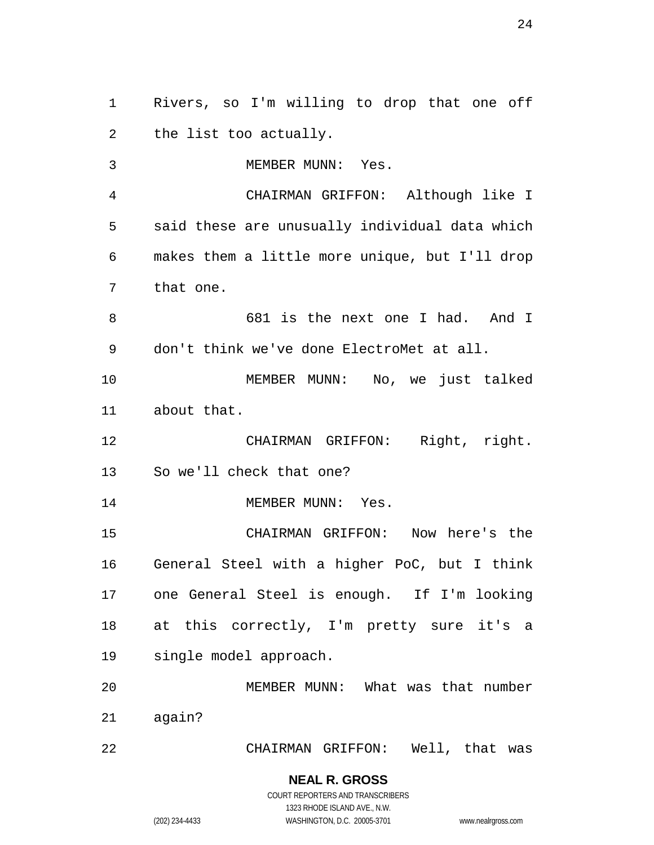Rivers, so I'm willing to drop that one off the list too actually.

3 MEMBER MUNN: Yes. CHAIRMAN GRIFFON: Although like I said these are unusually individual data which makes them a little more unique, but I'll drop that one. 681 is the next one I had. And I don't think we've done ElectroMet at all. MEMBER MUNN: No, we just talked about that. CHAIRMAN GRIFFON: Right, right. So we'll check that one? 14 MEMBER MUNN: Yes. CHAIRMAN GRIFFON: Now here's the General Steel with a higher PoC, but I think one General Steel is enough. If I'm looking 18 at this correctly, I'm pretty sure it's a single model approach. MEMBER MUNN: What was that number

CHAIRMAN GRIFFON: Well, that was

# **NEAL R. GROSS**

again?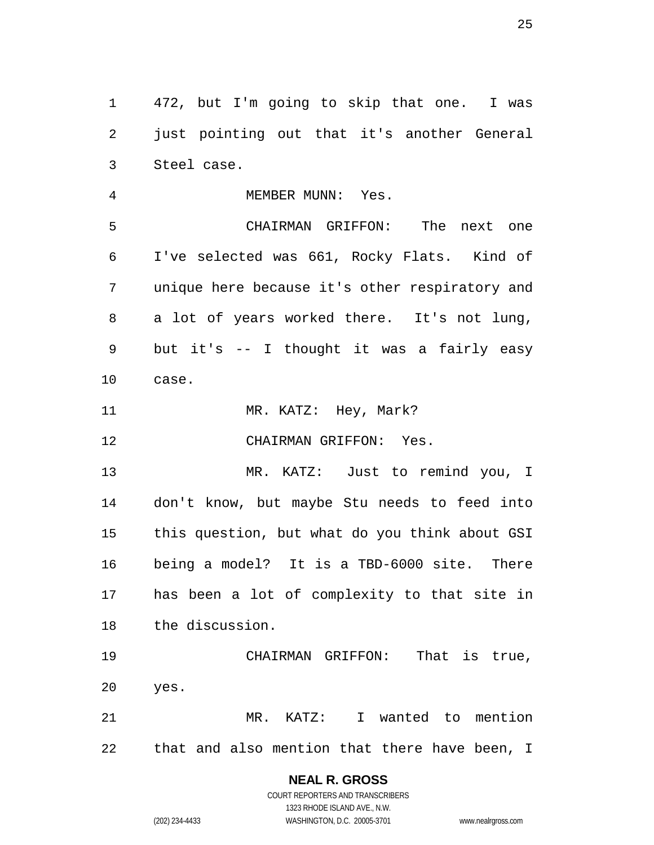472, but I'm going to skip that one. I was just pointing out that it's another General Steel case.

4 MEMBER MUNN: Yes. CHAIRMAN GRIFFON: The next one I've selected was 661, Rocky Flats. Kind of unique here because it's other respiratory and a lot of years worked there. It's not lung, but it's -- I thought it was a fairly easy case. 11 MR. KATZ: Hey, Mark?

CHAIRMAN GRIFFON: Yes.

 MR. KATZ: Just to remind you, I don't know, but maybe Stu needs to feed into this question, but what do you think about GSI being a model? It is a TBD-6000 site. There has been a lot of complexity to that site in the discussion.

 CHAIRMAN GRIFFON: That is true, yes. MR. KATZ: I wanted to mention

that and also mention that there have been, I

### **NEAL R. GROSS**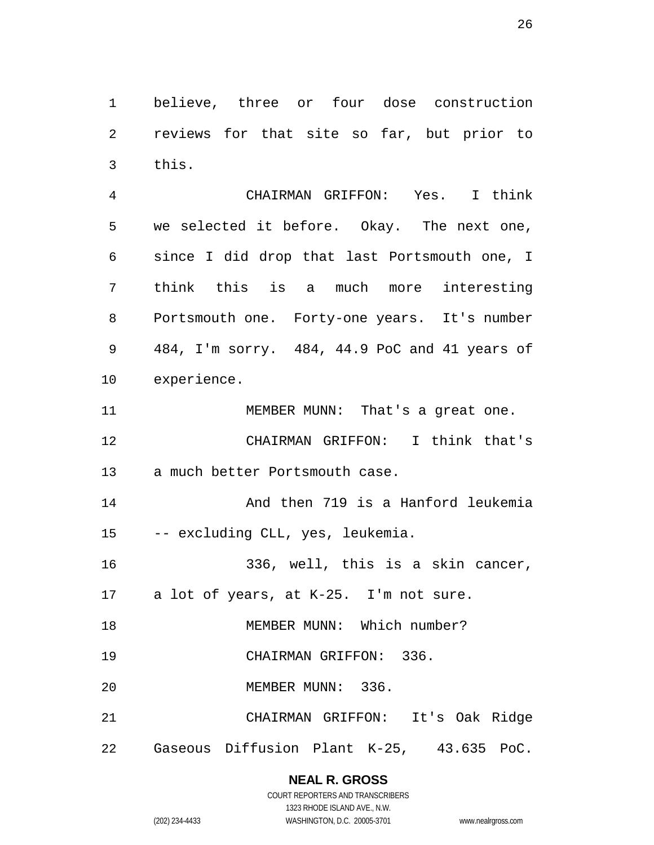believe, three or four dose construction reviews for that site so far, but prior to this.

 CHAIRMAN GRIFFON: Yes. I think we selected it before. Okay. The next one, since I did drop that last Portsmouth one, I think this is a much more interesting Portsmouth one. Forty-one years. It's number 484, I'm sorry. 484, 44.9 PoC and 41 years of experience.

11 MEMBER MUNN: That's a great one. CHAIRMAN GRIFFON: I think that's a much better Portsmouth case.

 And then 719 is a Hanford leukemia -- excluding CLL, yes, leukemia.

336, well, this is a skin cancer,

a lot of years, at K-25. I'm not sure.

18 MEMBER MUNN: Which number?

CHAIRMAN GRIFFON: 336.

MEMBER MUNN: 336.

CHAIRMAN GRIFFON: It's Oak Ridge

Gaseous Diffusion Plant K-25, 43.635 PoC.

# **NEAL R. GROSS**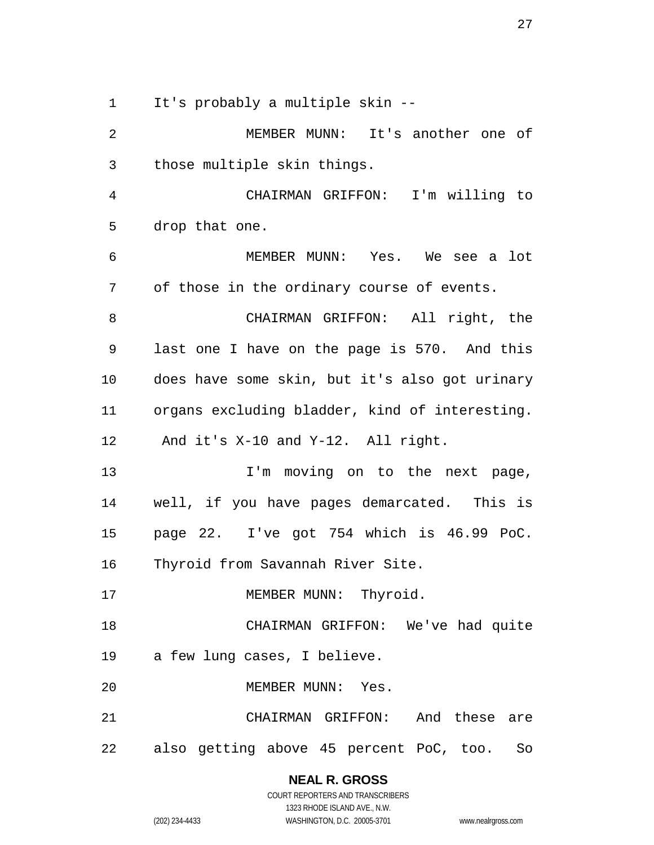It's probably a multiple skin --

 MEMBER MUNN: It's another one of those multiple skin things.

 CHAIRMAN GRIFFON: I'm willing to drop that one.

 MEMBER MUNN: Yes. We see a lot of those in the ordinary course of events.

 CHAIRMAN GRIFFON: All right, the last one I have on the page is 570. And this does have some skin, but it's also got urinary organs excluding bladder, kind of interesting. And it's X-10 and Y-12. All right.

13 1'm moving on to the next page, well, if you have pages demarcated. This is page 22. I've got 754 which is 46.99 PoC.

Thyroid from Savannah River Site.

17 MEMBER MUNN: Thyroid.

CHAIRMAN GRIFFON: We've had quite

a few lung cases, I believe.

MEMBER MUNN: Yes.

 CHAIRMAN GRIFFON: And these are also getting above 45 percent PoC, too. So

> **NEAL R. GROSS** COURT REPORTERS AND TRANSCRIBERS

> > 1323 RHODE ISLAND AVE., N.W.

(202) 234-4433 WASHINGTON, D.C. 20005-3701 www.nealrgross.com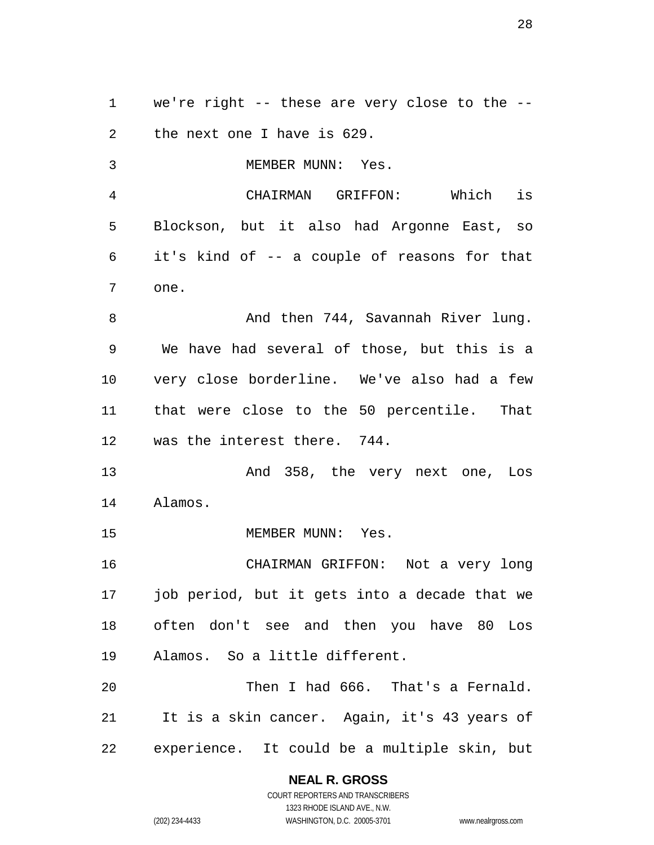we're right -- these are very close to the -- the next one I have is 629.

3 MEMBER MUNN: Yes. CHAIRMAN GRIFFON: Which is Blockson, but it also had Argonne East, so it's kind of -- a couple of reasons for that one. 8 And then 744, Savannah River lung. We have had several of those, but this is a very close borderline. We've also had a few that were close to the 50 percentile. That was the interest there. 744.

 And 358, the very next one, Los Alamos.

15 MEMBER MUNN: Yes.

 CHAIRMAN GRIFFON: Not a very long job period, but it gets into a decade that we often don't see and then you have 80 Los Alamos. So a little different.

 Then I had 666. That's a Fernald. It is a skin cancer. Again, it's 43 years of experience. It could be a multiple skin, but

**NEAL R. GROSS**

COURT REPORTERS AND TRANSCRIBERS 1323 RHODE ISLAND AVE., N.W. (202) 234-4433 WASHINGTON, D.C. 20005-3701 www.nealrgross.com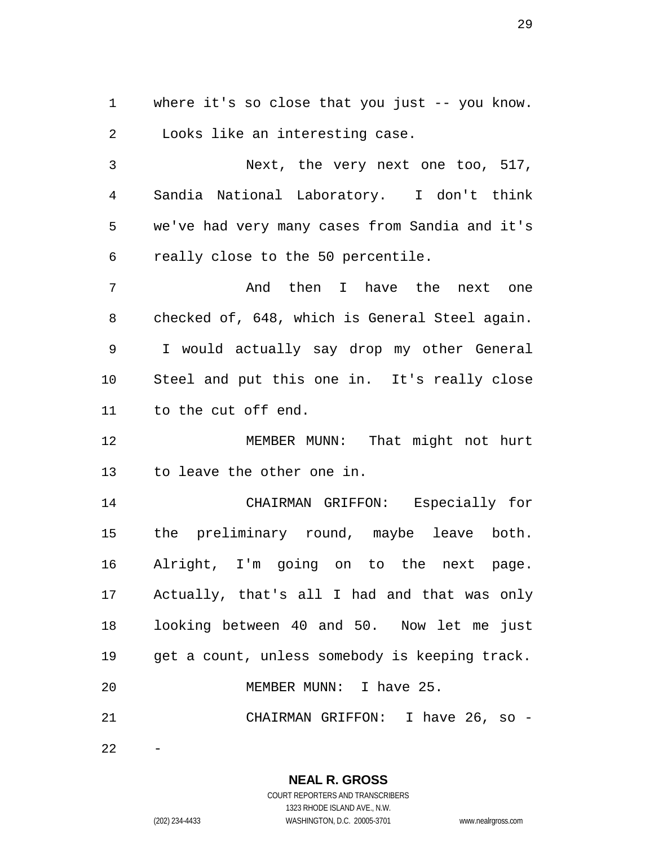where it's so close that you just -- you know. Looks like an interesting case.

 Next, the very next one too, 517, Sandia National Laboratory. I don't think we've had very many cases from Sandia and it's really close to the 50 percentile.

 And then I have the next one checked of, 648, which is General Steel again. I would actually say drop my other General Steel and put this one in. It's really close to the cut off end.

 MEMBER MUNN: That might not hurt to leave the other one in.

 CHAIRMAN GRIFFON: Especially for the preliminary round, maybe leave both. Alright, I'm going on to the next page. Actually, that's all I had and that was only looking between 40 and 50. Now let me just get a count, unless somebody is keeping track. 20 MEMBER MUNN: I have 25. CHAIRMAN GRIFFON: I have 26, so -

**NEAL R. GROSS** COURT REPORTERS AND TRANSCRIBERS

1323 RHODE ISLAND AVE., N.W.

(202) 234-4433 WASHINGTON, D.C. 20005-3701 www.nealrgross.com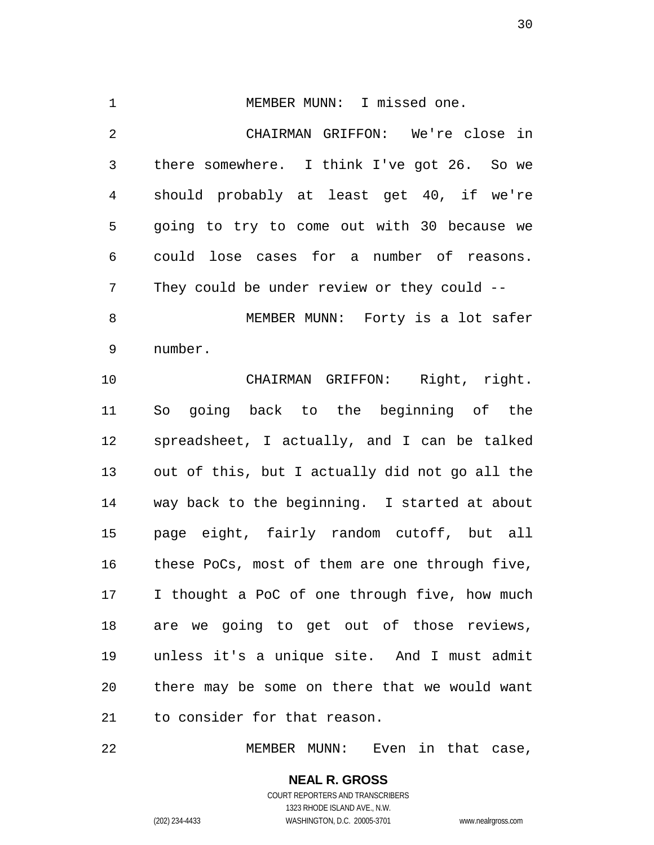1 MEMBER MUNN: I missed one. CHAIRMAN GRIFFON: We're close in there somewhere. I think I've got 26. So we should probably at least get 40, if we're going to try to come out with 30 because we could lose cases for a number of reasons. They could be under review or they could -- MEMBER MUNN: Forty is a lot safer number. CHAIRMAN GRIFFON: Right, right.

 So going back to the beginning of the spreadsheet, I actually, and I can be talked out of this, but I actually did not go all the way back to the beginning. I started at about page eight, fairly random cutoff, but all these PoCs, most of them are one through five, I thought a PoC of one through five, how much are we going to get out of those reviews, unless it's a unique site. And I must admit there may be some on there that we would want to consider for that reason.

MEMBER MUNN: Even in that case,

**NEAL R. GROSS** COURT REPORTERS AND TRANSCRIBERS 1323 RHODE ISLAND AVE., N.W. (202) 234-4433 WASHINGTON, D.C. 20005-3701 www.nealrgross.com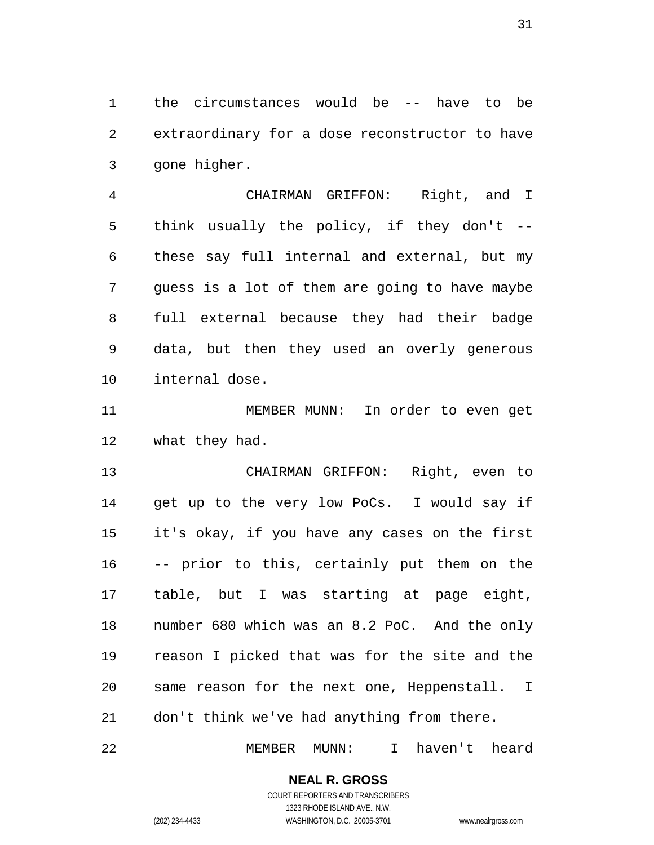the circumstances would be -- have to be extraordinary for a dose reconstructor to have gone higher.

 CHAIRMAN GRIFFON: Right, and I think usually the policy, if they don't -- these say full internal and external, but my guess is a lot of them are going to have maybe full external because they had their badge data, but then they used an overly generous internal dose.

 MEMBER MUNN: In order to even get what they had.

 CHAIRMAN GRIFFON: Right, even to get up to the very low PoCs. I would say if it's okay, if you have any cases on the first -- prior to this, certainly put them on the table, but I was starting at page eight, number 680 which was an 8.2 PoC. And the only reason I picked that was for the site and the same reason for the next one, Heppenstall. I don't think we've had anything from there.

MEMBER MUNN: I haven't heard

# **NEAL R. GROSS**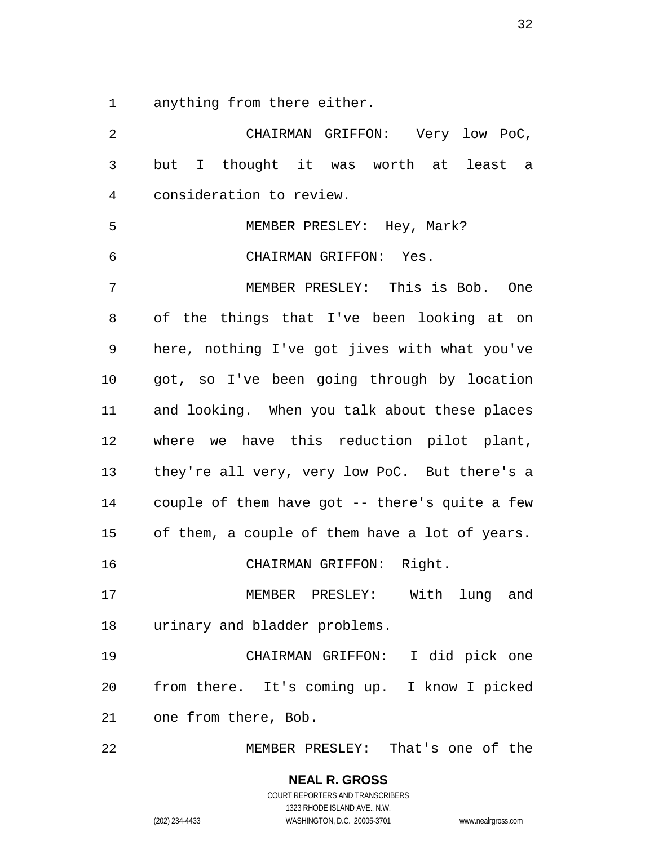anything from there either.

 CHAIRMAN GRIFFON: Very low PoC, but I thought it was worth at least a consideration to review. MEMBER PRESLEY: Hey, Mark? CHAIRMAN GRIFFON: Yes. MEMBER PRESLEY: This is Bob. One of the things that I've been looking at on here, nothing I've got jives with what you've got, so I've been going through by location and looking. When you talk about these places where we have this reduction pilot plant, they're all very, very low PoC. But there's a couple of them have got -- there's quite a few of them, a couple of them have a lot of years. CHAIRMAN GRIFFON: Right. MEMBER PRESLEY: With lung and urinary and bladder problems. CHAIRMAN GRIFFON: I did pick one from there. It's coming up. I know I picked one from there, Bob. MEMBER PRESLEY: That's one of the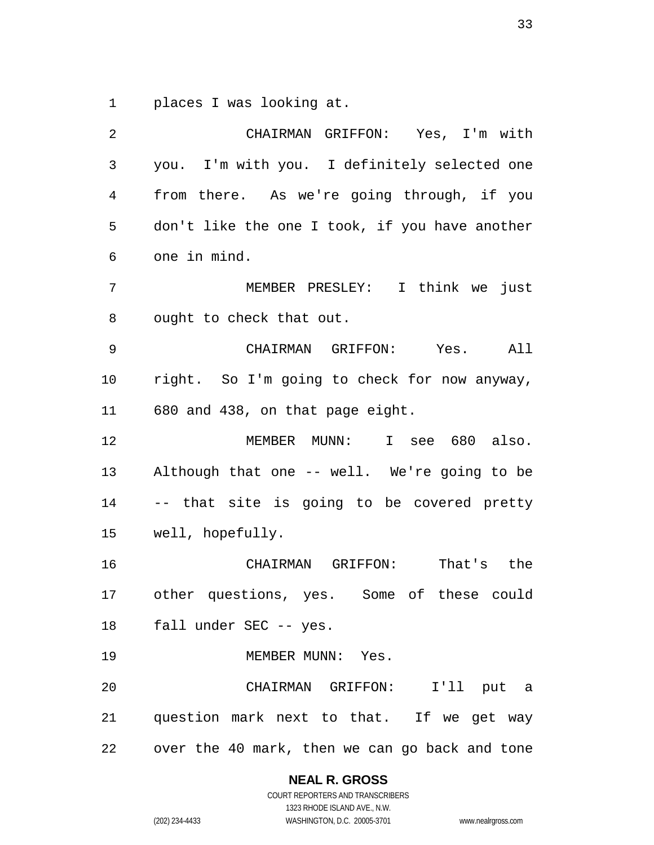places I was looking at.

| $\overline{2}$ | CHAIRMAN GRIFFON: Yes, I'm with                |
|----------------|------------------------------------------------|
| 3              | you. I'm with you. I definitely selected one   |
| 4              | from there. As we're going through, if you     |
| 5              | don't like the one I took, if you have another |
| 6              | one in mind.                                   |
| 7              | MEMBER PRESLEY: I think we just                |
| 8              | ought to check that out.                       |
| 9              | CHAIRMAN GRIFFON: Yes. All                     |
| 10             | right. So I'm going to check for now anyway,   |
| 11             | 680 and 438, on that page eight.               |
| 12             | MEMBER MUNN: I see 680 also.                   |
| 13             | Although that one -- well. We're going to be   |
| 14             | -- that site is going to be covered pretty     |
| 15             | well, hopefully.                               |
| 16             | CHAIRMAN GRIFFON: That's the                   |
| 17             | other questions, yes. Some of these could      |
| 18             | fall under SEC -- yes.                         |
| 19             | MEMBER MUNN: Yes.                              |
| 20             | CHAIRMAN GRIFFON: I'll put a                   |
| 21             | question mark next to that. If we get way      |
| 22             | over the 40 mark, then we can go back and tone |

### **NEAL R. GROSS** COURT REPORTERS AND TRANSCRIBERS

1323 RHODE ISLAND AVE., N.W.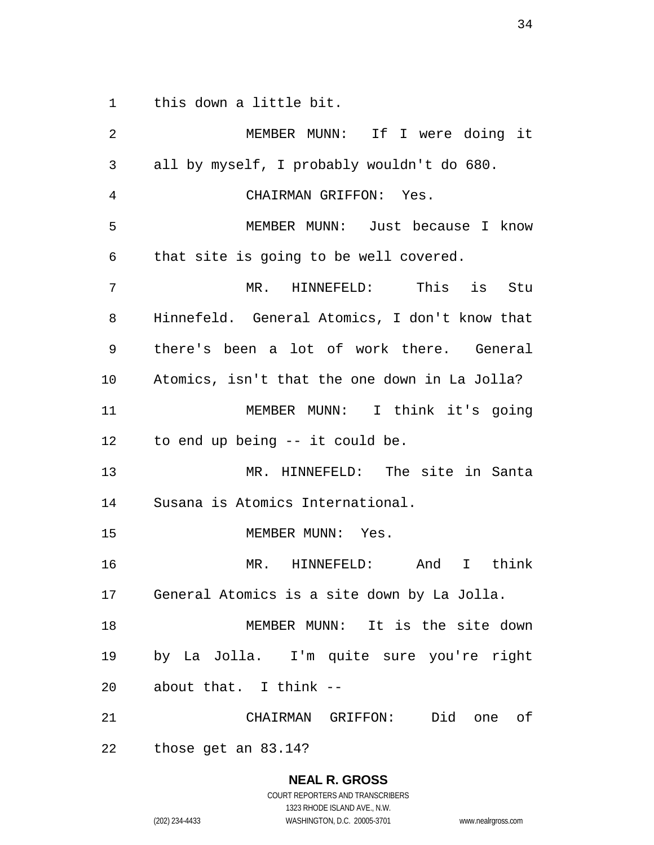this down a little bit.

 MEMBER MUNN: If I were doing it all by myself, I probably wouldn't do 680. CHAIRMAN GRIFFON: Yes. MEMBER MUNN: Just because I know that site is going to be well covered. MR. HINNEFELD: This is Stu Hinnefeld. General Atomics, I don't know that there's been a lot of work there. General Atomics, isn't that the one down in La Jolla? MEMBER MUNN: I think it's going to end up being -- it could be. MR. HINNEFELD: The site in Santa Susana is Atomics International. 15 MEMBER MUNN: Yes. MR. HINNEFELD: And I think General Atomics is a site down by La Jolla. MEMBER MUNN: It is the site down by La Jolla. I'm quite sure you're right about that. I think -- CHAIRMAN GRIFFON: Did one of those get an 83.14?

**NEAL R. GROSS**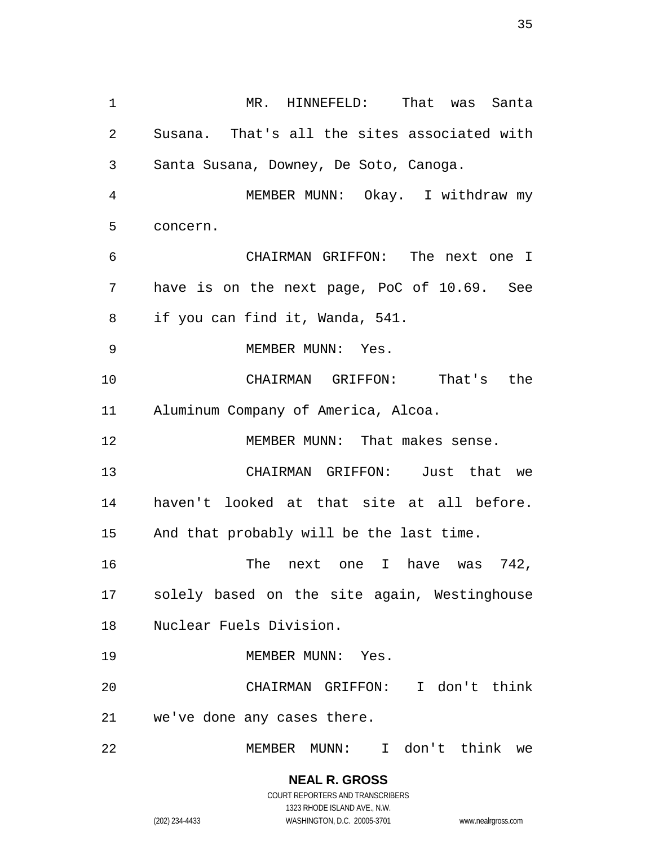MR. HINNEFELD: That was Santa Susana. That's all the sites associated with Santa Susana, Downey, De Soto, Canoga. MEMBER MUNN: Okay. I withdraw my concern. CHAIRMAN GRIFFON: The next one I have is on the next page, PoC of 10.69. See if you can find it, Wanda, 541. 9 MEMBER MUNN: Yes. CHAIRMAN GRIFFON: That's the Aluminum Company of America, Alcoa. MEMBER MUNN: That makes sense. CHAIRMAN GRIFFON: Just that we haven't looked at that site at all before. And that probably will be the last time. The next one I have was 742, solely based on the site again, Westinghouse Nuclear Fuels Division. 19 MEMBER MUNN: Yes. CHAIRMAN GRIFFON: I don't think we've done any cases there. MEMBER MUNN: I don't think we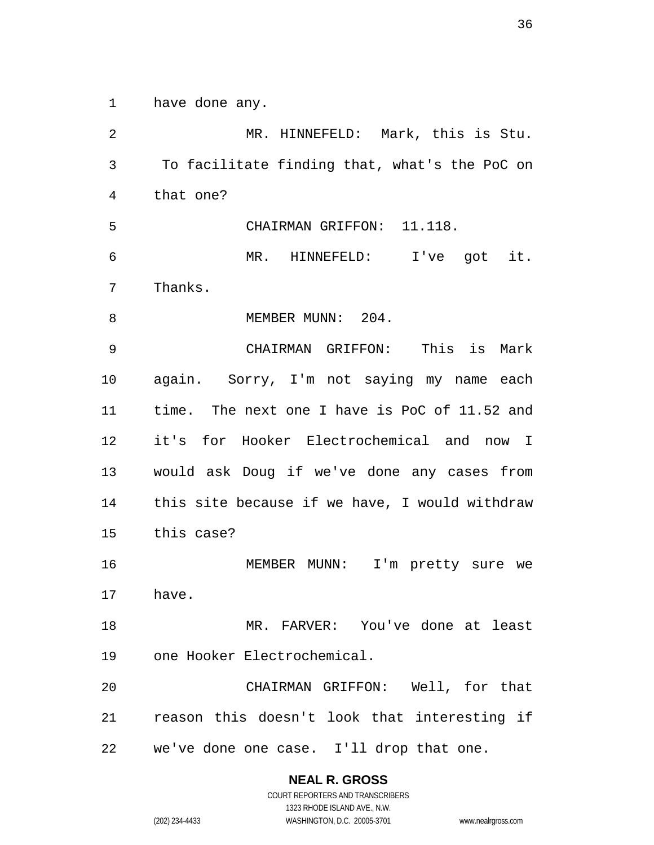have done any.

 MR. HINNEFELD: Mark, this is Stu. To facilitate finding that, what's the PoC on that one? CHAIRMAN GRIFFON: 11.118. MR. HINNEFELD: I've got it. Thanks. 8 MEMBER MUNN: 204. CHAIRMAN GRIFFON: This is Mark again. Sorry, I'm not saying my name each time. The next one I have is PoC of 11.52 and it's for Hooker Electrochemical and now I would ask Doug if we've done any cases from this site because if we have, I would withdraw this case? MEMBER MUNN: I'm pretty sure we have. MR. FARVER: You've done at least one Hooker Electrochemical. CHAIRMAN GRIFFON: Well, for that reason this doesn't look that interesting if we've done one case. I'll drop that one.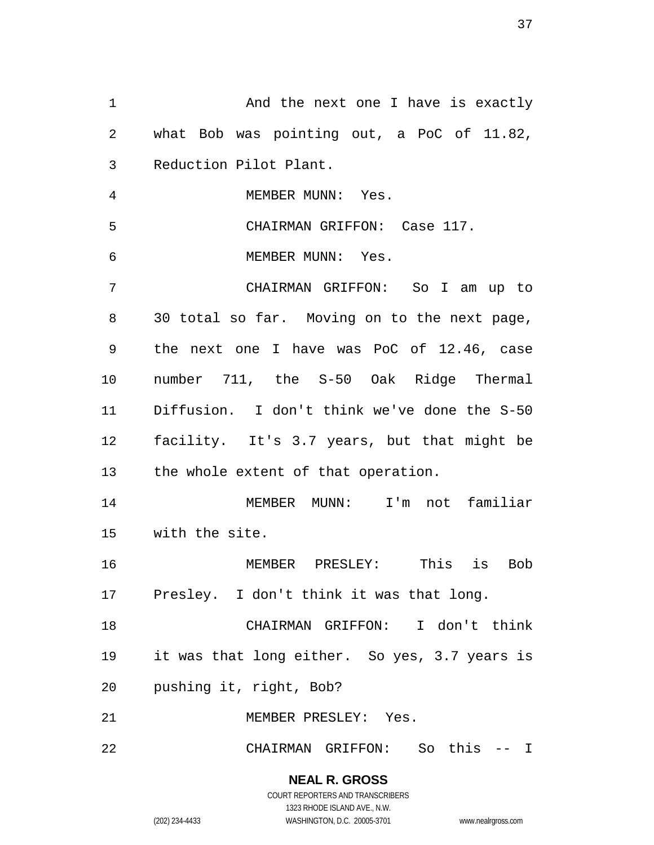1 And the next one I have is exactly what Bob was pointing out, a PoC of 11.82, Reduction Pilot Plant. 4 MEMBER MUNN: Yes. CHAIRMAN GRIFFON: Case 117. MEMBER MUNN: Yes. CHAIRMAN GRIFFON: So I am up to 30 total so far. Moving on to the next page, the next one I have was PoC of 12.46, case number 711, the S-50 Oak Ridge Thermal Diffusion. I don't think we've done the S-50 facility. It's 3.7 years, but that might be the whole extent of that operation. MEMBER MUNN: I'm not familiar with the site. MEMBER PRESLEY: This is Bob Presley. I don't think it was that long. CHAIRMAN GRIFFON: I don't think it was that long either. So yes, 3.7 years is pushing it, right, Bob? MEMBER PRESLEY: Yes. CHAIRMAN GRIFFON: So this -- I

> **NEAL R. GROSS** COURT REPORTERS AND TRANSCRIBERS 1323 RHODE ISLAND AVE., N.W. (202) 234-4433 WASHINGTON, D.C. 20005-3701 www.nealrgross.com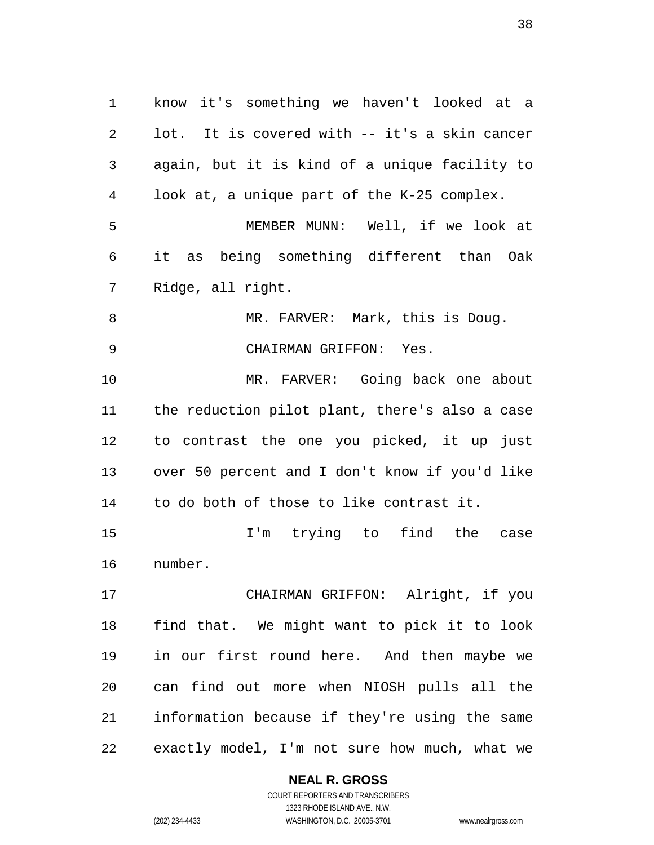know it's something we haven't looked at a lot. It is covered with -- it's a skin cancer again, but it is kind of a unique facility to look at, a unique part of the K-25 complex. MEMBER MUNN: Well, if we look at it as being something different than Oak Ridge, all right. 8 MR. FARVER: Mark, this is Doug. CHAIRMAN GRIFFON: Yes. MR. FARVER: Going back one about the reduction pilot plant, there's also a case to contrast the one you picked, it up just over 50 percent and I don't know if you'd like to do both of those to like contrast it. I'm trying to find the case number. CHAIRMAN GRIFFON: Alright, if you find that. We might want to pick it to look in our first round here. And then maybe we can find out more when NIOSH pulls all the information because if they're using the same exactly model, I'm not sure how much, what we

**NEAL R. GROSS**

COURT REPORTERS AND TRANSCRIBERS 1323 RHODE ISLAND AVE., N.W. (202) 234-4433 WASHINGTON, D.C. 20005-3701 www.nealrgross.com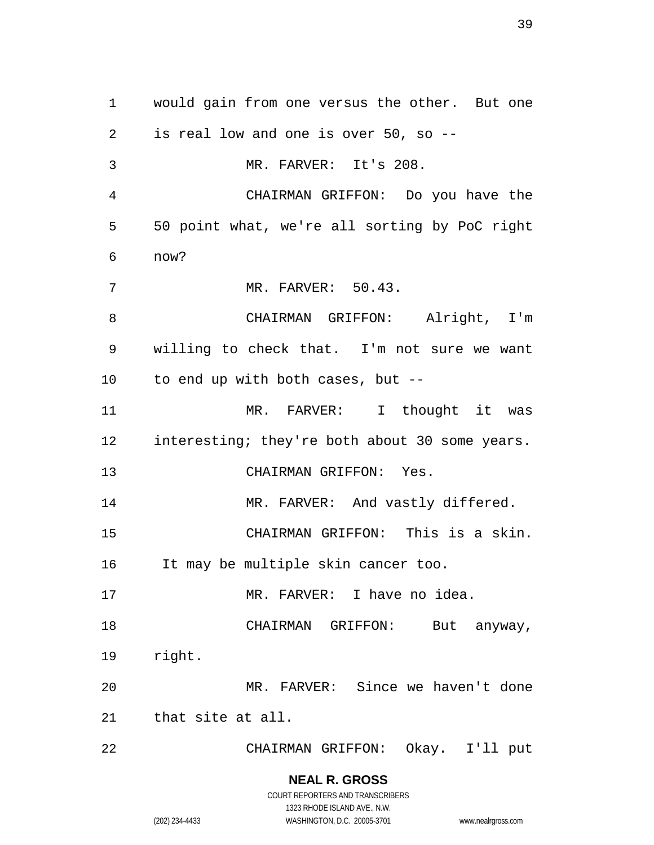would gain from one versus the other. But one is real low and one is over 50, so -- MR. FARVER: It's 208. CHAIRMAN GRIFFON: Do you have the 50 point what, we're all sorting by PoC right now? MR. FARVER: 50.43. CHAIRMAN GRIFFON: Alright, I'm willing to check that. I'm not sure we want to end up with both cases, but -- MR. FARVER: I thought it was 12 interesting; they're both about 30 some years. CHAIRMAN GRIFFON: Yes. 14 MR. FARVER: And vastly differed. CHAIRMAN GRIFFON: This is a skin. It may be multiple skin cancer too. MR. FARVER: I have no idea. 18 CHAIRMAN GRIFFON: But anyway, right. MR. FARVER: Since we haven't done that site at all. CHAIRMAN GRIFFON: Okay. I'll put

> **NEAL R. GROSS** COURT REPORTERS AND TRANSCRIBERS 1323 RHODE ISLAND AVE., N.W.

(202) 234-4433 WASHINGTON, D.C. 20005-3701 www.nealrgross.com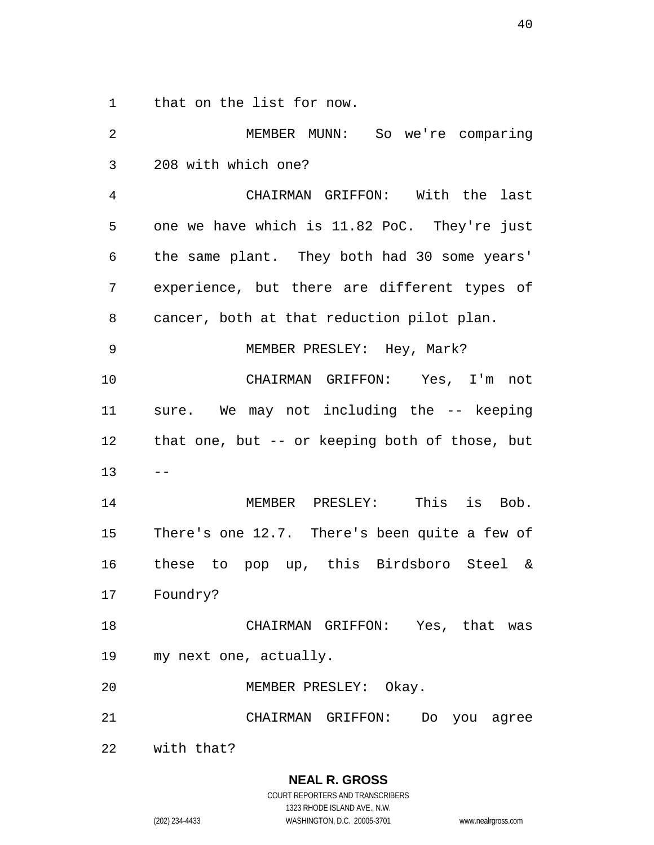that on the list for now.

 MEMBER MUNN: So we're comparing 208 with which one? CHAIRMAN GRIFFON: With the last one we have which is 11.82 PoC. They're just the same plant. They both had 30 some years' experience, but there are different types of cancer, both at that reduction pilot plan. MEMBER PRESLEY: Hey, Mark? CHAIRMAN GRIFFON: Yes, I'm not sure. We may not including the -- keeping that one, but -- or keeping both of those, but  $13 - -$  MEMBER PRESLEY: This is Bob. There's one 12.7. There's been quite a few of these to pop up, this Birdsboro Steel & Foundry? CHAIRMAN GRIFFON: Yes, that was my next one, actually. MEMBER PRESLEY: Okay. CHAIRMAN GRIFFON: Do you agree with that?

> **NEAL R. GROSS** COURT REPORTERS AND TRANSCRIBERS 1323 RHODE ISLAND AVE., N.W. (202) 234-4433 WASHINGTON, D.C. 20005-3701 www.nealrgross.com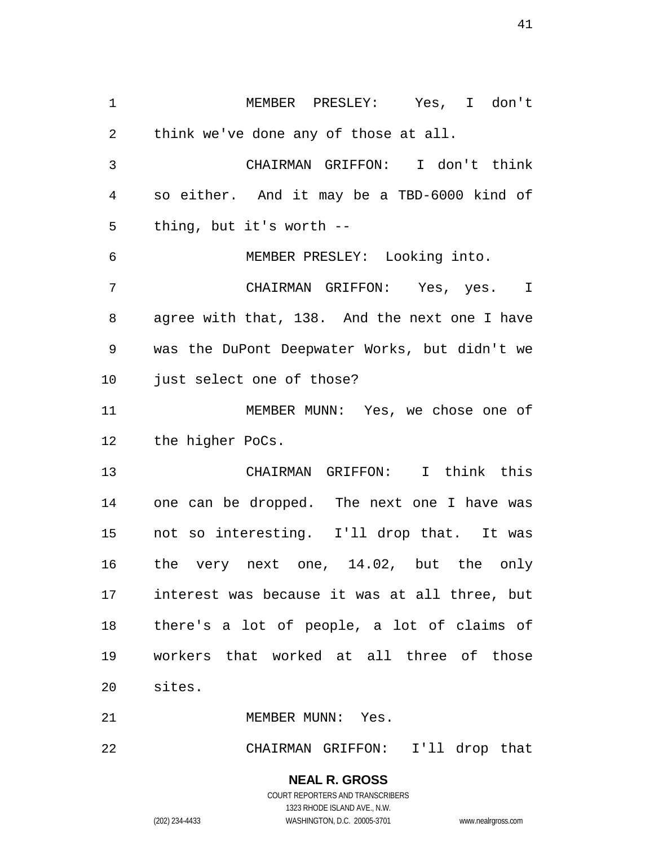MEMBER PRESLEY: Yes, I don't think we've done any of those at all. CHAIRMAN GRIFFON: I don't think so either. And it may be a TBD-6000 kind of thing, but it's worth -- MEMBER PRESLEY: Looking into. CHAIRMAN GRIFFON: Yes, yes. I agree with that, 138. And the next one I have was the DuPont Deepwater Works, but didn't we just select one of those? MEMBER MUNN: Yes, we chose one of the higher PoCs. CHAIRMAN GRIFFON: I think this one can be dropped. The next one I have was not so interesting. I'll drop that. It was the very next one, 14.02, but the only interest was because it was at all three, but there's a lot of people, a lot of claims of workers that worked at all three of those sites. 21 MEMBER MUNN: Yes.

CHAIRMAN GRIFFON: I'll drop that

**NEAL R. GROSS** COURT REPORTERS AND TRANSCRIBERS 1323 RHODE ISLAND AVE., N.W. (202) 234-4433 WASHINGTON, D.C. 20005-3701 www.nealrgross.com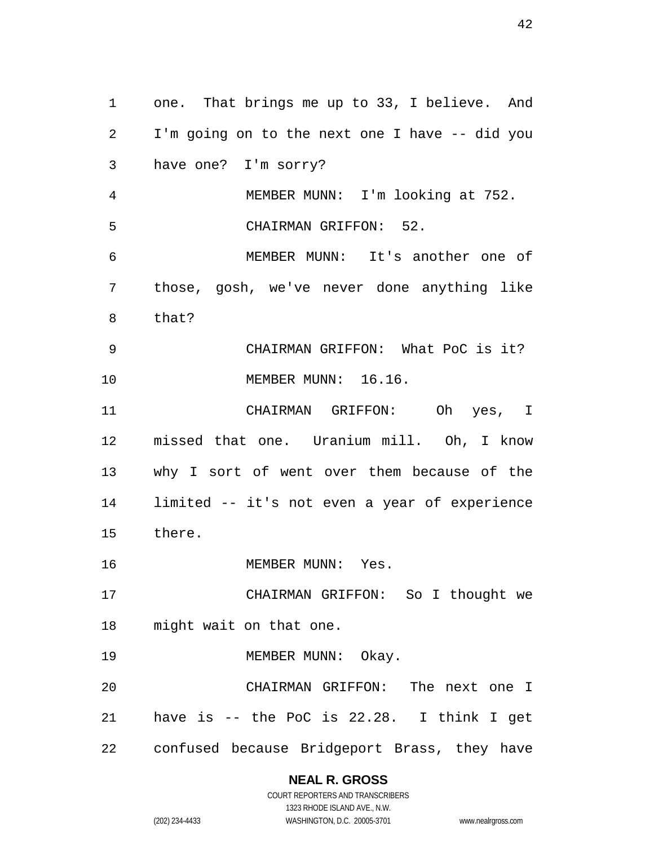one. That brings me up to 33, I believe. And I'm going on to the next one I have -- did you have one? I'm sorry? MEMBER MUNN: I'm looking at 752. CHAIRMAN GRIFFON: 52. MEMBER MUNN: It's another one of those, gosh, we've never done anything like that? CHAIRMAN GRIFFON: What PoC is it? MEMBER MUNN: 16.16. CHAIRMAN GRIFFON: Oh yes, I missed that one. Uranium mill. Oh, I know why I sort of went over them because of the limited -- it's not even a year of experience there. MEMBER MUNN: Yes. CHAIRMAN GRIFFON: So I thought we might wait on that one. 19 MEMBER MUNN: Okay. CHAIRMAN GRIFFON: The next one I have is -- the PoC is 22.28. I think I get confused because Bridgeport Brass, they have

### **NEAL R. GROSS**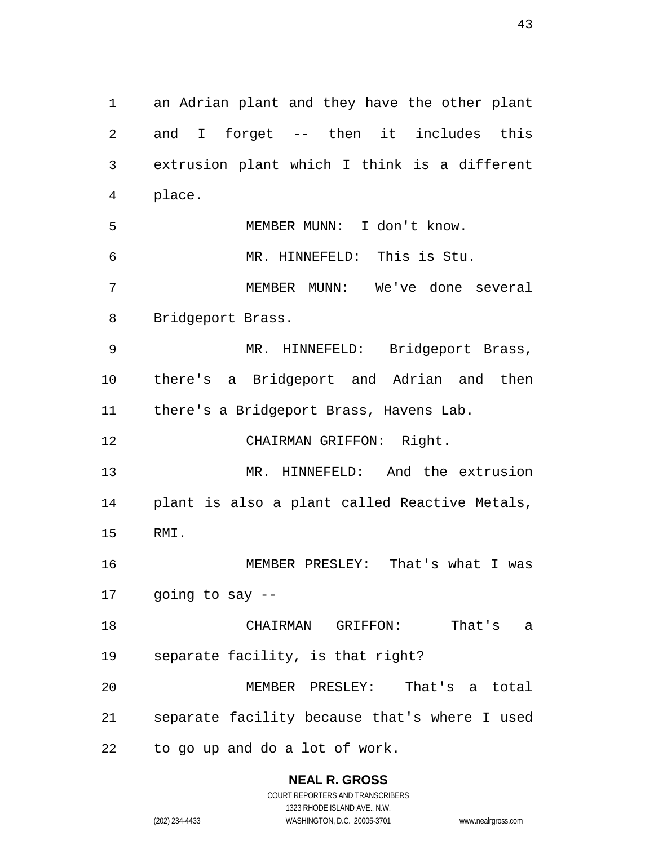an Adrian plant and they have the other plant and I forget -- then it includes this extrusion plant which I think is a different place. MEMBER MUNN: I don't know. MR. HINNEFELD: This is Stu. MEMBER MUNN: We've done several Bridgeport Brass. MR. HINNEFELD: Bridgeport Brass, there's a Bridgeport and Adrian and then there's a Bridgeport Brass, Havens Lab. CHAIRMAN GRIFFON: Right. MR. HINNEFELD: And the extrusion plant is also a plant called Reactive Metals, RMI. MEMBER PRESLEY: That's what I was going to say -- CHAIRMAN GRIFFON: That's a separate facility, is that right? MEMBER PRESLEY: That's a total separate facility because that's where I used to go up and do a lot of work.

> **NEAL R. GROSS** COURT REPORTERS AND TRANSCRIBERS

1323 RHODE ISLAND AVE., N.W. (202) 234-4433 WASHINGTON, D.C. 20005-3701 www.nealrgross.com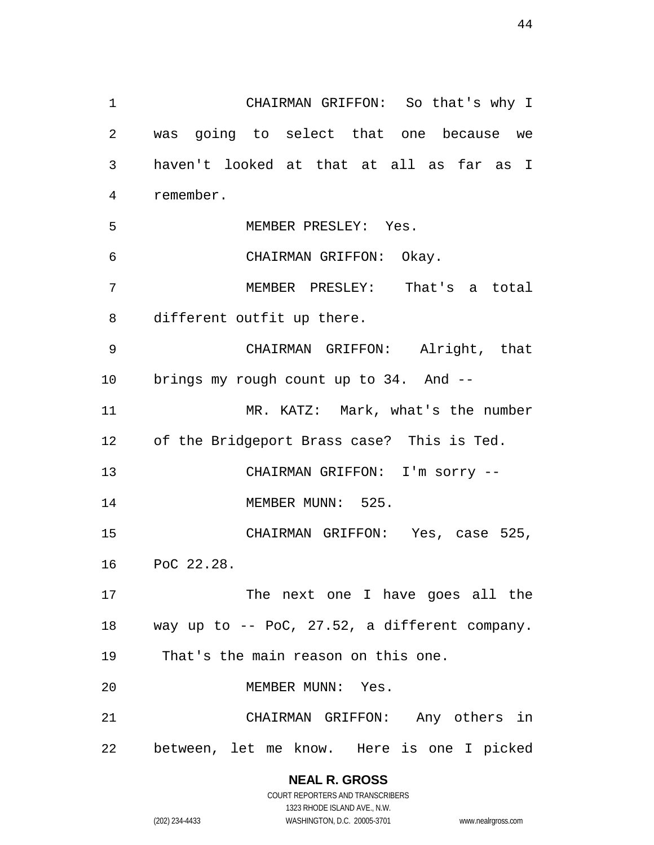CHAIRMAN GRIFFON: So that's why I was going to select that one because we haven't looked at that at all as far as I remember. MEMBER PRESLEY: Yes. CHAIRMAN GRIFFON: Okay. MEMBER PRESLEY: That's a total different outfit up there. CHAIRMAN GRIFFON: Alright, that brings my rough count up to 34. And -- MR. KATZ: Mark, what's the number of the Bridgeport Brass case? This is Ted. CHAIRMAN GRIFFON: I'm sorry -- 14 MEMBER MUNN: 525. CHAIRMAN GRIFFON: Yes, case 525, PoC 22.28. The next one I have goes all the way up to -- PoC, 27.52, a different company. That's the main reason on this one. MEMBER MUNN: Yes. CHAIRMAN GRIFFON: Any others in between, let me know. Here is one I picked

> **NEAL R. GROSS** COURT REPORTERS AND TRANSCRIBERS 1323 RHODE ISLAND AVE., N.W. (202) 234-4433 WASHINGTON, D.C. 20005-3701 www.nealrgross.com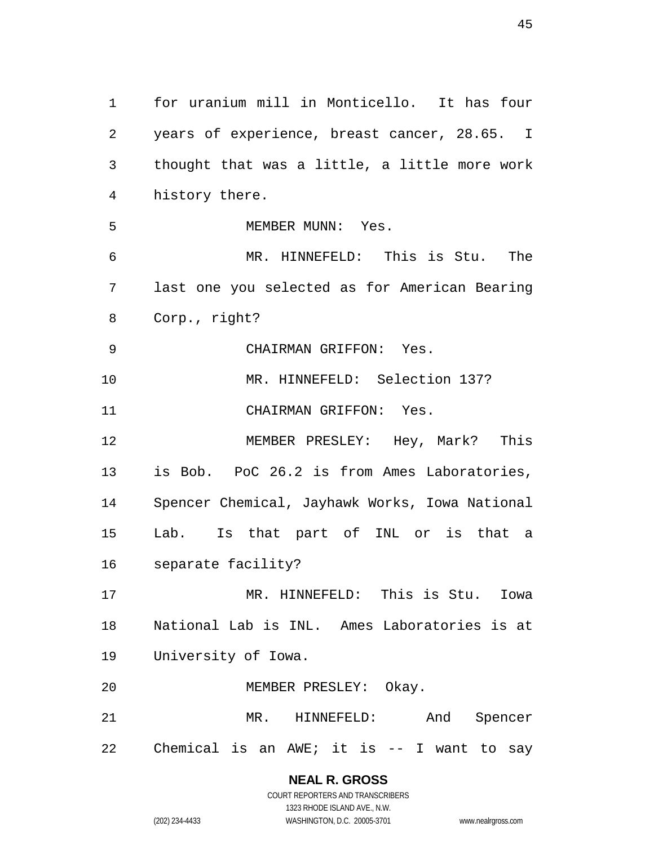for uranium mill in Monticello. It has four years of experience, breast cancer, 28.65. I thought that was a little, a little more work history there. MEMBER MUNN: Yes. MR. HINNEFELD: This is Stu. The last one you selected as for American Bearing Corp., right? CHAIRMAN GRIFFON: Yes. MR. HINNEFELD: Selection 137? CHAIRMAN GRIFFON: Yes. MEMBER PRESLEY: Hey, Mark? This is Bob. PoC 26.2 is from Ames Laboratories, Spencer Chemical, Jayhawk Works, Iowa National Lab. Is that part of INL or is that a separate facility? MR. HINNEFELD: This is Stu. Iowa National Lab is INL. Ames Laboratories is at University of Iowa. MEMBER PRESLEY: Okay. MR. HINNEFELD: And Spencer Chemical is an AWE; it is -- I want to say

# **NEAL R. GROSS**

COURT REPORTERS AND TRANSCRIBERS 1323 RHODE ISLAND AVE., N.W. (202) 234-4433 WASHINGTON, D.C. 20005-3701 www.nealrgross.com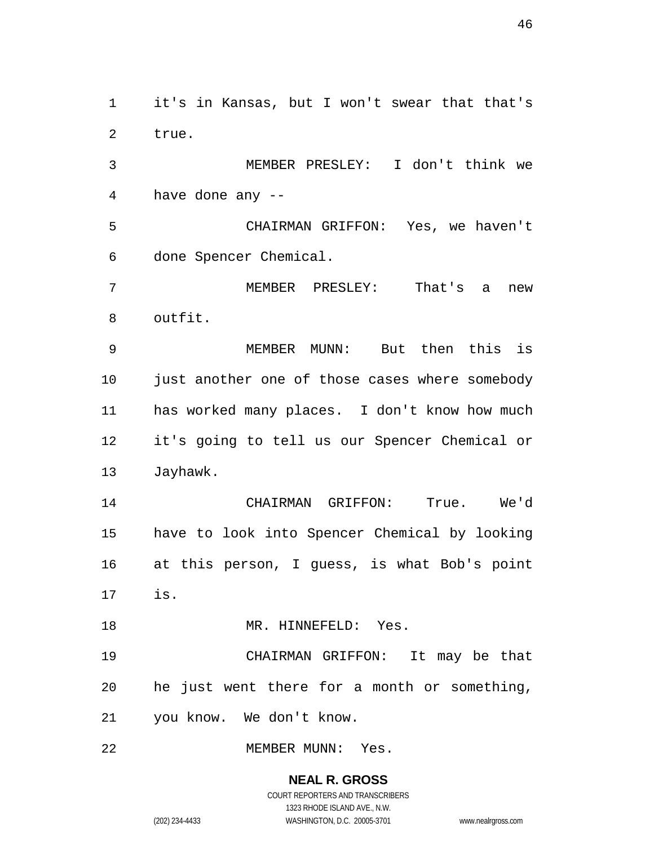it's in Kansas, but I won't swear that that's true.

 MEMBER PRESLEY: I don't think we have done any --

 CHAIRMAN GRIFFON: Yes, we haven't done Spencer Chemical.

 MEMBER PRESLEY: That's a new outfit.

 MEMBER MUNN: But then this is just another one of those cases where somebody has worked many places. I don't know how much it's going to tell us our Spencer Chemical or Jayhawk.

 CHAIRMAN GRIFFON: True. We'd have to look into Spencer Chemical by looking at this person, I guess, is what Bob's point is.

18 MR. HINNEFELD: Yes.

 CHAIRMAN GRIFFON: It may be that he just went there for a month or something, you know. We don't know.

22 MEMBER MUNN: Yes.

**NEAL R. GROSS** COURT REPORTERS AND TRANSCRIBERS

1323 RHODE ISLAND AVE., N.W.

(202) 234-4433 WASHINGTON, D.C. 20005-3701 www.nealrgross.com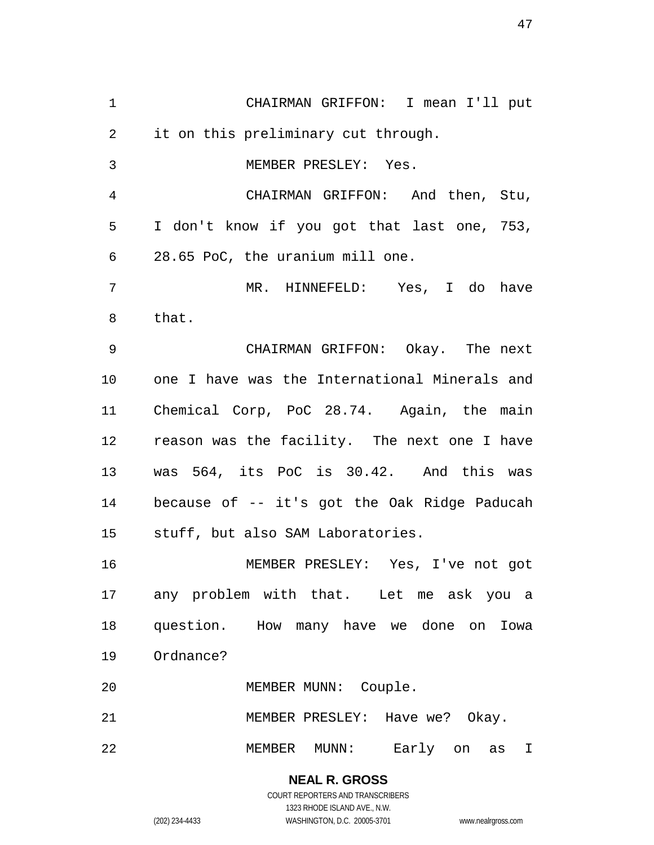CHAIRMAN GRIFFON: I mean I'll put it on this preliminary cut through. MEMBER PRESLEY: Yes. CHAIRMAN GRIFFON: And then, Stu, I don't know if you got that last one, 753, 28.65 PoC, the uranium mill one. MR. HINNEFELD: Yes, I do have that. CHAIRMAN GRIFFON: Okay. The next one I have was the International Minerals and Chemical Corp, PoC 28.74. Again, the main reason was the facility. The next one I have was 564, its PoC is 30.42. And this was because of -- it's got the Oak Ridge Paducah stuff, but also SAM Laboratories. MEMBER PRESLEY: Yes, I've not got any problem with that. Let me ask you a question. How many have we done on Iowa Ordnance? MEMBER MUNN: Couple. MEMBER PRESLEY: Have we? Okay. MEMBER MUNN: Early on as I

#### **NEAL R. GROSS** COURT REPORTERS AND TRANSCRIBERS 1323 RHODE ISLAND AVE., N.W. (202) 234-4433 WASHINGTON, D.C. 20005-3701 www.nealrgross.com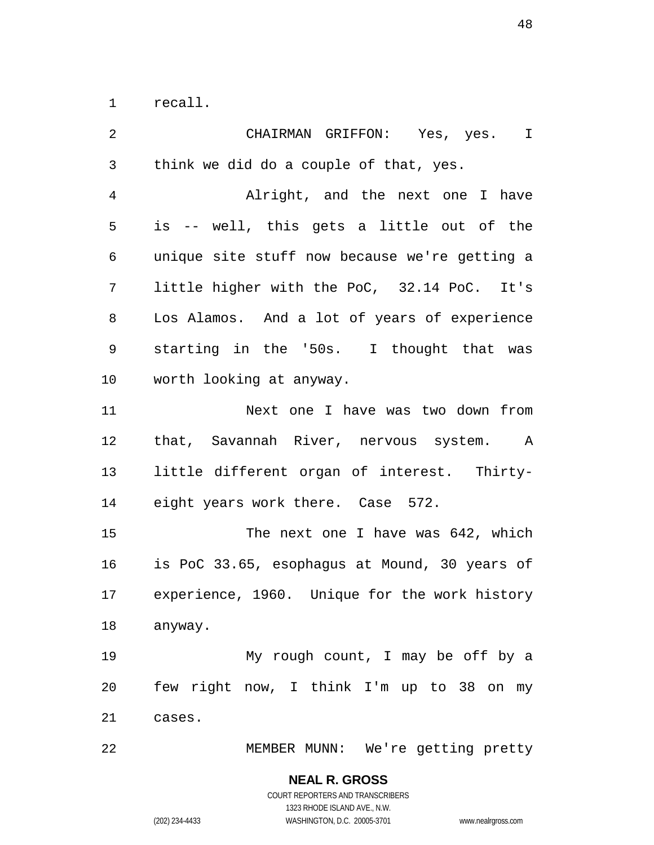recall.

 CHAIRMAN GRIFFON: Yes, yes. I think we did do a couple of that, yes. Alright, and the next one I have is -- well, this gets a little out of the unique site stuff now because we're getting a little higher with the PoC, 32.14 PoC. It's Los Alamos. And a lot of years of experience starting in the '50s. I thought that was worth looking at anyway. Next one I have was two down from that, Savannah River, nervous system. A little different organ of interest. Thirty- eight years work there. Case 572. 15 The next one I have was 642, which is PoC 33.65, esophagus at Mound, 30 years of experience, 1960. Unique for the work history anyway. My rough count, I may be off by a few right now, I think I'm up to 38 on my cases. MEMBER MUNN: We're getting pretty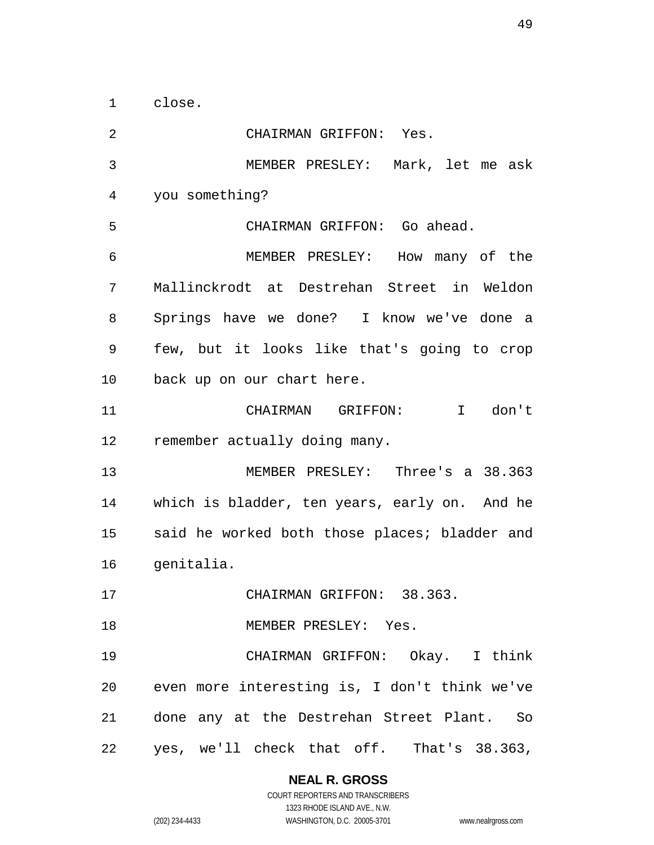close.

 CHAIRMAN GRIFFON: Yes. MEMBER PRESLEY: Mark, let me ask you something? CHAIRMAN GRIFFON: Go ahead. MEMBER PRESLEY: How many of the Mallinckrodt at Destrehan Street in Weldon Springs have we done? I know we've done a few, but it looks like that's going to crop back up on our chart here. CHAIRMAN GRIFFON: I don't remember actually doing many. MEMBER PRESLEY: Three's a 38.363 which is bladder, ten years, early on. And he said he worked both those places; bladder and genitalia. CHAIRMAN GRIFFON: 38.363. 18 MEMBER PRESLEY: Yes. CHAIRMAN GRIFFON: Okay. I think even more interesting is, I don't think we've done any at the Destrehan Street Plant. So yes, we'll check that off. That's 38.363,

**NEAL R. GROSS**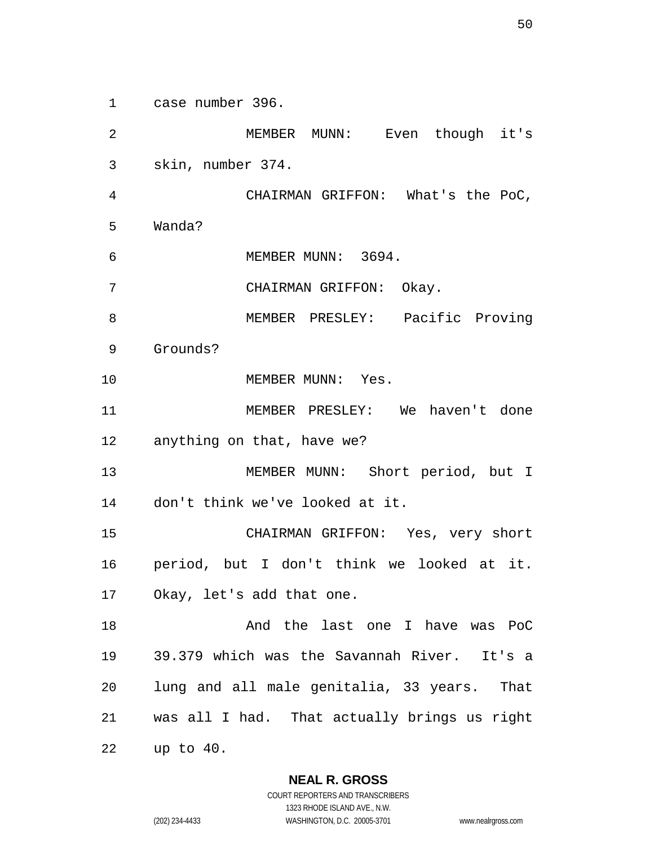case number 396.

 MEMBER MUNN: Even though it's skin, number 374. CHAIRMAN GRIFFON: What's the PoC, Wanda? MEMBER MUNN: 3694. CHAIRMAN GRIFFON: Okay. MEMBER PRESLEY: Pacific Proving Grounds? 10 MEMBER MUNN: Yes. MEMBER PRESLEY: We haven't done anything on that, have we? MEMBER MUNN: Short period, but I don't think we've looked at it. CHAIRMAN GRIFFON: Yes, very short period, but I don't think we looked at it. Okay, let's add that one. And the last one I have was PoC 39.379 which was the Savannah River. It's a lung and all male genitalia, 33 years. That was all I had. That actually brings us right up to 40.

**NEAL R. GROSS**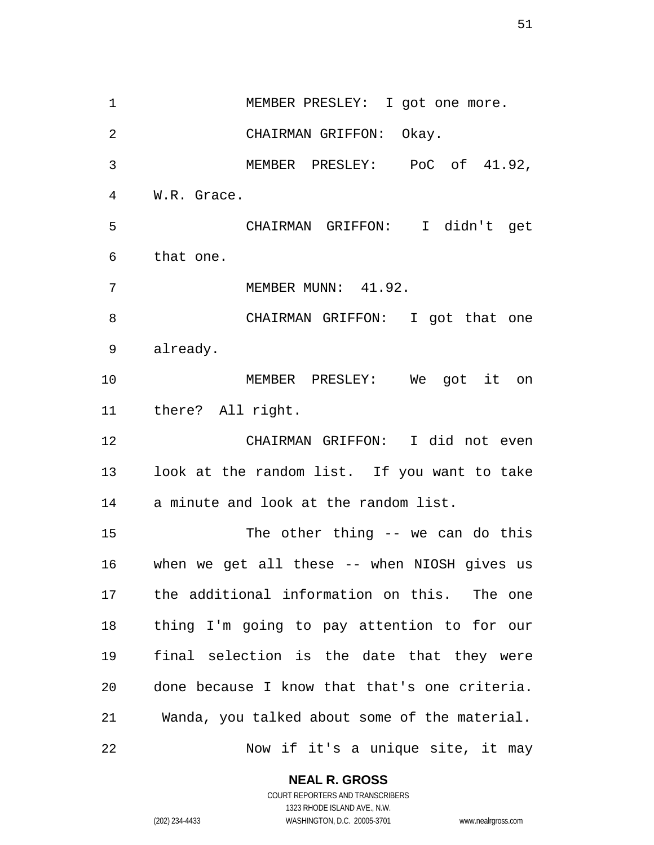1 MEMBER PRESLEY: I got one more. CHAIRMAN GRIFFON: Okay. MEMBER PRESLEY: PoC of 41.92, W.R. Grace. CHAIRMAN GRIFFON: I didn't get that one. 7 MEMBER MUNN: 41.92. CHAIRMAN GRIFFON: I got that one already. MEMBER PRESLEY: We got it on there? All right. CHAIRMAN GRIFFON: I did not even look at the random list. If you want to take a minute and look at the random list. The other thing -- we can do this when we get all these -- when NIOSH gives us the additional information on this. The one thing I'm going to pay attention to for our final selection is the date that they were done because I know that that's one criteria. Wanda, you talked about some of the material. Now if it's a unique site, it may

### **NEAL R. GROSS**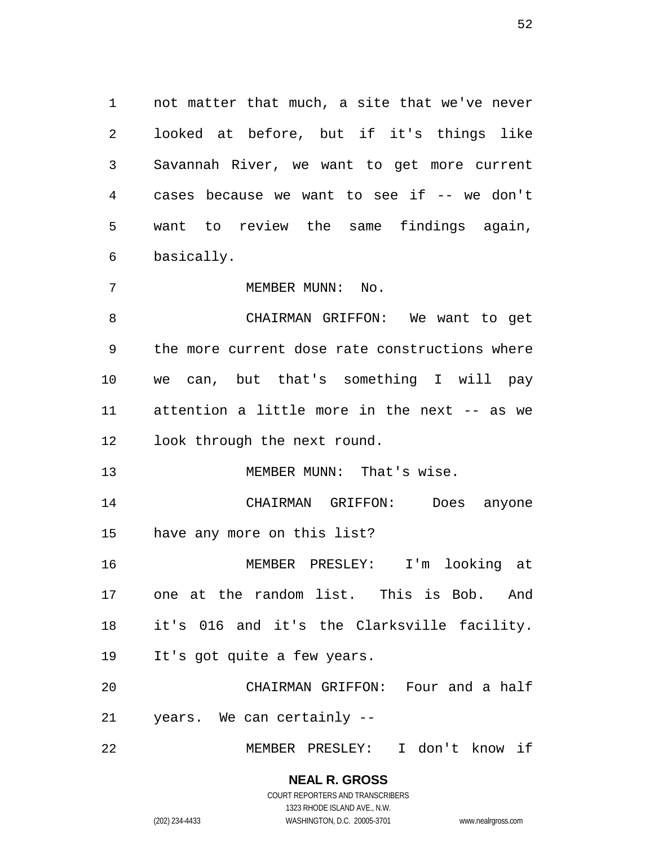not matter that much, a site that we've never looked at before, but if it's things like Savannah River, we want to get more current cases because we want to see if -- we don't want to review the same findings again, basically.

7 MEMBER MUNN: No.

 CHAIRMAN GRIFFON: We want to get the more current dose rate constructions where we can, but that's something I will pay attention a little more in the next -- as we look through the next round.

13 MEMBER MUNN: That's wise.

 CHAIRMAN GRIFFON: Does anyone have any more on this list?

 MEMBER PRESLEY: I'm looking at one at the random list. This is Bob. And it's 016 and it's the Clarksville facility. It's got quite a few years.

 CHAIRMAN GRIFFON: Four and a half years. We can certainly --

MEMBER PRESLEY: I don't know if

**NEAL R. GROSS** COURT REPORTERS AND TRANSCRIBERS

1323 RHODE ISLAND AVE., N.W.

(202) 234-4433 WASHINGTON, D.C. 20005-3701 www.nealrgross.com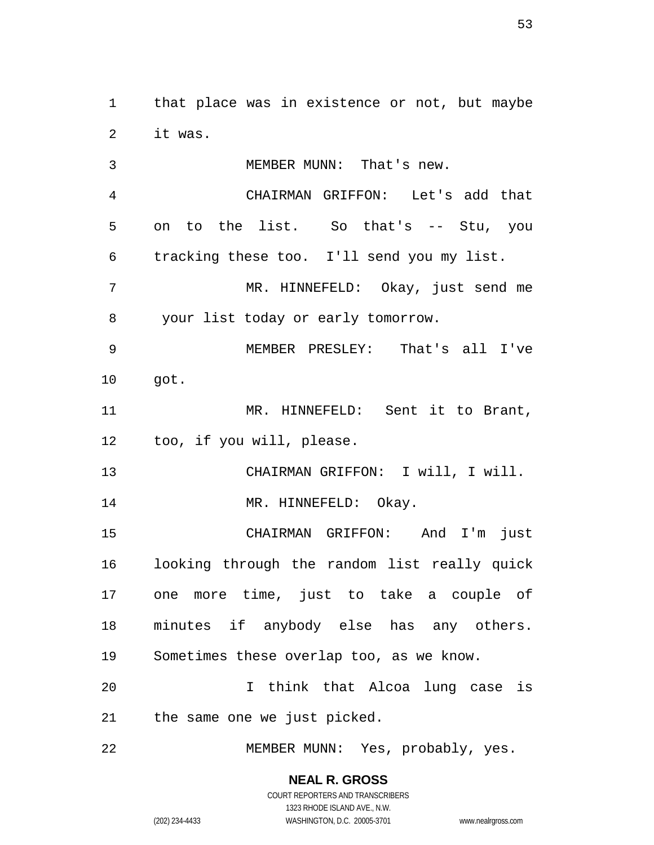that place was in existence or not, but maybe it was.

 MEMBER MUNN: That's new. CHAIRMAN GRIFFON: Let's add that on to the list. So that's -- Stu, you tracking these too. I'll send you my list. MR. HINNEFELD: Okay, just send me your list today or early tomorrow. MEMBER PRESLEY: That's all I've got. MR. HINNEFELD: Sent it to Brant, too, if you will, please. CHAIRMAN GRIFFON: I will, I will. 14 MR. HINNEFELD: Okay. CHAIRMAN GRIFFON: And I'm just looking through the random list really quick one more time, just to take a couple of minutes if anybody else has any others. Sometimes these overlap too, as we know. I think that Alcoa lung case is the same one we just picked. MEMBER MUNN: Yes, probably, yes.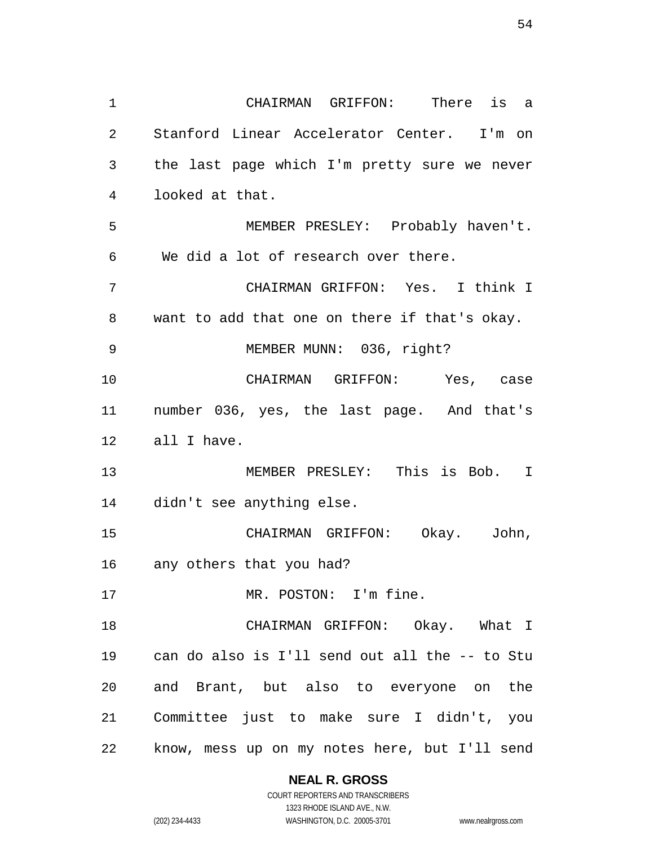CHAIRMAN GRIFFON: There is a Stanford Linear Accelerator Center. I'm on the last page which I'm pretty sure we never looked at that. MEMBER PRESLEY: Probably haven't. We did a lot of research over there. CHAIRMAN GRIFFON: Yes. I think I want to add that one on there if that's okay. MEMBER MUNN: 036, right? CHAIRMAN GRIFFON: Yes, case number 036, yes, the last page. And that's all I have. MEMBER PRESLEY: This is Bob. I didn't see anything else. CHAIRMAN GRIFFON: Okay. John, any others that you had? 17 MR. POSTON: I'm fine. CHAIRMAN GRIFFON: Okay. What I can do also is I'll send out all the -- to Stu and Brant, but also to everyone on the Committee just to make sure I didn't, you know, mess up on my notes here, but I'll send

> **NEAL R. GROSS** COURT REPORTERS AND TRANSCRIBERS

1323 RHODE ISLAND AVE., N.W. (202) 234-4433 WASHINGTON, D.C. 20005-3701 www.nealrgross.com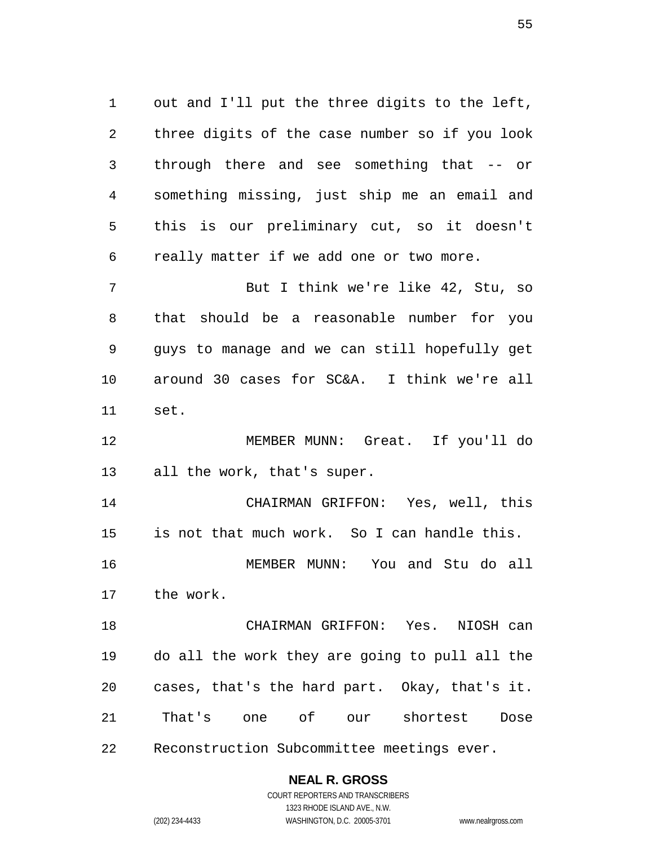out and I'll put the three digits to the left, three digits of the case number so if you look through there and see something that -- or something missing, just ship me an email and this is our preliminary cut, so it doesn't really matter if we add one or two more. But I think we're like 42, Stu, so that should be a reasonable number for you guys to manage and we can still hopefully get around 30 cases for SC&A. I think we're all

set.

 MEMBER MUNN: Great. If you'll do all the work, that's super.

 CHAIRMAN GRIFFON: Yes, well, this is not that much work. So I can handle this. MEMBER MUNN: You and Stu do all

the work.

 CHAIRMAN GRIFFON: Yes. NIOSH can do all the work they are going to pull all the cases, that's the hard part. Okay, that's it. That's one of our shortest Dose Reconstruction Subcommittee meetings ever.

**NEAL R. GROSS**

COURT REPORTERS AND TRANSCRIBERS 1323 RHODE ISLAND AVE., N.W. (202) 234-4433 WASHINGTON, D.C. 20005-3701 www.nealrgross.com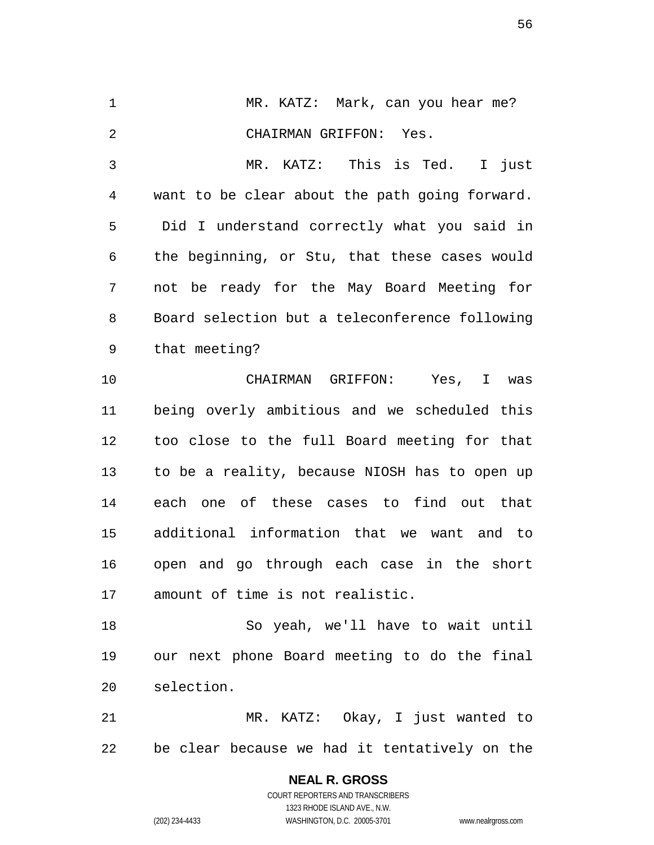1 MR. KATZ: Mark, can you hear me? CHAIRMAN GRIFFON: Yes. MR. KATZ: This is Ted. I just want to be clear about the path going forward. Did I understand correctly what you said in the beginning, or Stu, that these cases would not be ready for the May Board Meeting for Board selection but a teleconference following that meeting? CHAIRMAN GRIFFON: Yes, I was being overly ambitious and we scheduled this too close to the full Board meeting for that to be a reality, because NIOSH has to open up each one of these cases to find out that additional information that we want and to open and go through each case in the short

 So yeah, we'll have to wait until our next phone Board meeting to do the final selection.

amount of time is not realistic.

 MR. KATZ: Okay, I just wanted to be clear because we had it tentatively on the

> **NEAL R. GROSS** COURT REPORTERS AND TRANSCRIBERS 1323 RHODE ISLAND AVE., N.W. (202) 234-4433 WASHINGTON, D.C. 20005-3701 www.nealrgross.com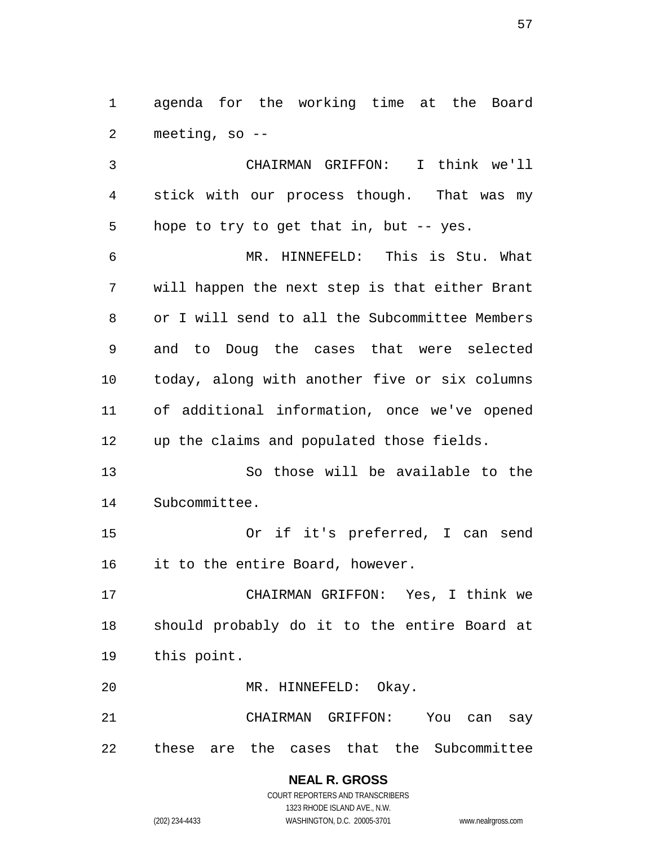agenda for the working time at the Board meeting, so --

 CHAIRMAN GRIFFON: I think we'll stick with our process though. That was my 5 hope to try to get that in, but -- yes. MR. HINNEFELD: This is Stu. What will happen the next step is that either Brant or I will send to all the Subcommittee Members and to Doug the cases that were selected today, along with another five or six columns of additional information, once we've opened up the claims and populated those fields. So those will be available to the Subcommittee. Or if it's preferred, I can send it to the entire Board, however. CHAIRMAN GRIFFON: Yes, I think we should probably do it to the entire Board at this point. MR. HINNEFELD: Okay. CHAIRMAN GRIFFON: You can say

these are the cases that the Subcommittee

**NEAL R. GROSS** COURT REPORTERS AND TRANSCRIBERS

1323 RHODE ISLAND AVE., N.W.

(202) 234-4433 WASHINGTON, D.C. 20005-3701 www.nealrgross.com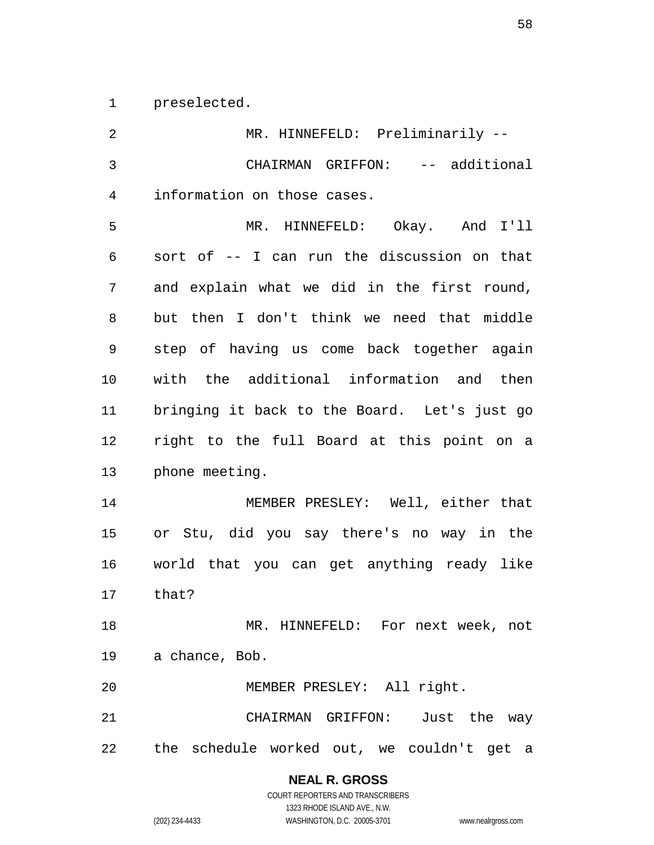preselected.

| 2              | MR. HINNEFELD: Preliminarily --               |
|----------------|-----------------------------------------------|
| $\overline{3}$ | CHAIRMAN GRIFFON: -- additional               |
| 4              | information on those cases.                   |
| 5              | MR. HINNEFELD: Okay. And I'll                 |
| 6              | sort of -- I can run the discussion on that   |
| 7              | and explain what we did in the first round,   |
| 8              | but then I don't think we need that middle    |
| 9              | step of having us come back together again    |
| 10             | with the additional information and then      |
| 11             | bringing it back to the Board. Let's just go  |
| 12             | right to the full Board at this point on a    |
| 13             | phone meeting.                                |
| 14             | MEMBER PRESLEY: Well, either that             |
| 15             | or Stu, did you say there's no way in the     |
| 16             | world that you can get anything ready like    |
| 17             | that?                                         |
| 18             | MR. HINNEFELD: For next week, not             |
| 19             | a chance, Bob.                                |
| 20             | MEMBER PRESLEY: All right.                    |
| 21             | CHAIRMAN GRIFFON: Just the way                |
|                | 22 the schedule worked out, we couldn't get a |

**NEAL R. GROSS** COURT REPORTERS AND TRANSCRIBERS 1323 RHODE ISLAND AVE., N.W.

(202) 234-4433 WASHINGTON, D.C. 20005-3701 www.nealrgross.com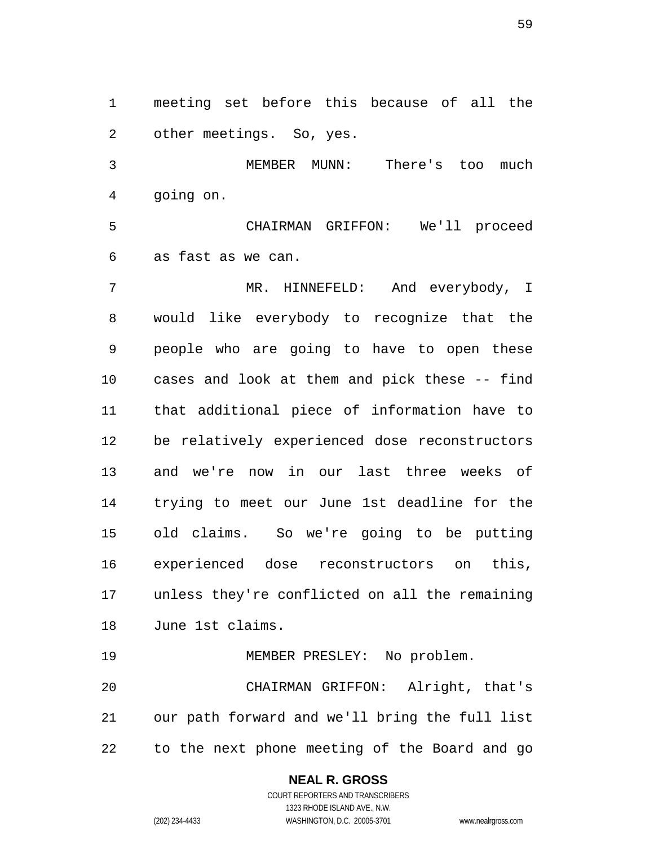meeting set before this because of all the other meetings. So, yes.

 MEMBER MUNN: There's too much going on.

 CHAIRMAN GRIFFON: We'll proceed as fast as we can.

 MR. HINNEFELD: And everybody, I would like everybody to recognize that the people who are going to have to open these cases and look at them and pick these -- find that additional piece of information have to be relatively experienced dose reconstructors and we're now in our last three weeks of trying to meet our June 1st deadline for the old claims. So we're going to be putting experienced dose reconstructors on this, unless they're conflicted on all the remaining June 1st claims.

 MEMBER PRESLEY: No problem. CHAIRMAN GRIFFON: Alright, that's our path forward and we'll bring the full list to the next phone meeting of the Board and go

### **NEAL R. GROSS**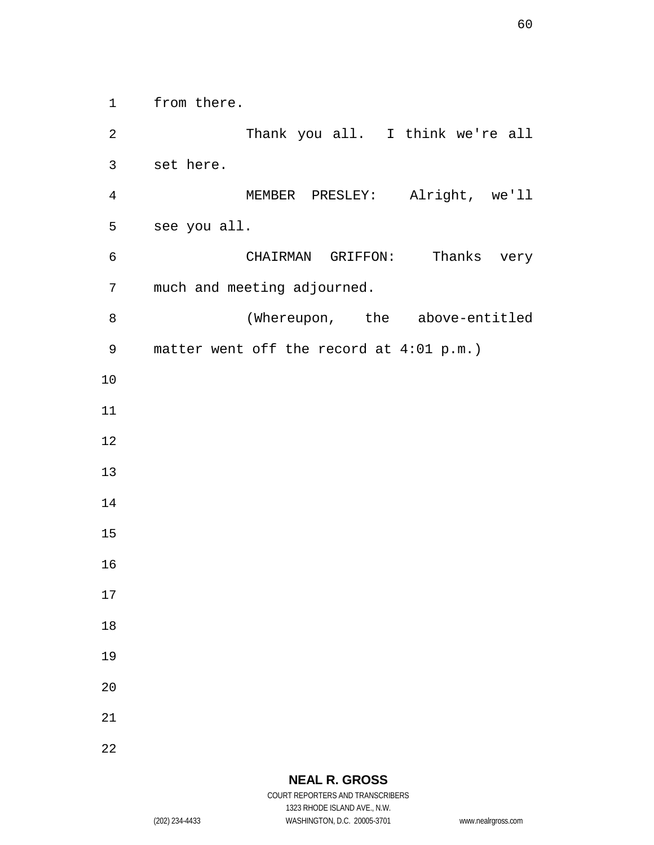from there.

 Thank you all. I think we're all set here. MEMBER PRESLEY: Alright, we'll see you all. CHAIRMAN GRIFFON: Thanks very much and meeting adjourned. (Whereupon, the above-entitled matter went off the record at 4:01 p.m.)